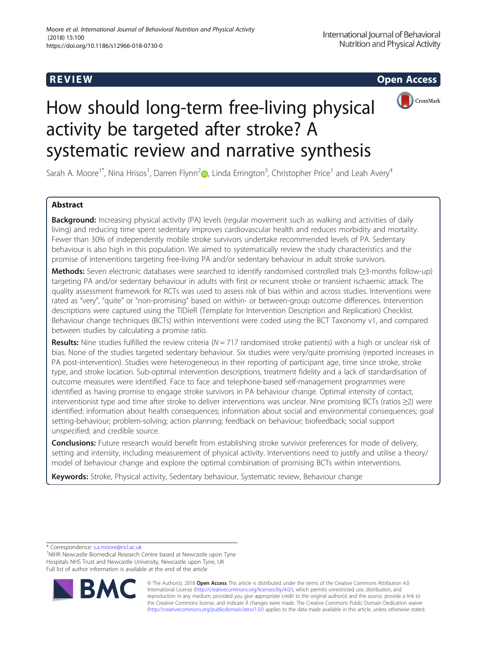**REVIEW CONSIDERING CONSIDERING CONSIDERING CONSIDERING CONSIDERING CONSIDERING CONSIDERING CONSIDERING CONSIDERING CONSIDERING CONSIDERING CONSIDERING CONSIDERING CONSIDERING CONSIDERING CONSIDERING CONSIDERING CONSIDER** 



# How should long-term free-living physical activity be targeted after stroke? A systematic review and narrative synthesis

Sarah A. Moore<sup>1\*</sup>[,](http://orcid.org/0000-0001-7390-632X) Nina Hrisos<sup>1</sup>, Darren Flynn<sup>2</sup> $\bullet$ , Linda Errington<sup>3</sup>, Christopher Price<sup>1</sup> and Leah Avery<sup>4</sup>

# Abstract

Background: Increasing physical activity (PA) levels (regular movement such as walking and activities of daily living) and reducing time spent sedentary improves cardiovascular health and reduces morbidity and mortality. Fewer than 30% of independently mobile stroke survivors undertake recommended levels of PA. Sedentary behaviour is also high in this population. We aimed to systematically review the study characteristics and the promise of interventions targeting free-living PA and/or sedentary behaviour in adult stroke survivors.

Methods: Seven electronic databases were searched to identify randomised controlled trials (≥3-months follow-up) targeting PA and/or sedentary behaviour in adults with first or recurrent stroke or transient ischaemic attack. The quality assessment framework for RCTs was used to assess risk of bias within and across studies. Interventions were rated as "very", "quite" or "non-promising" based on within- or between-group outcome differences. Intervention descriptions were captured using the TIDieR (Template for Intervention Description and Replication) Checklist. Behaviour change techniques (BCTs) within interventions were coded using the BCT Taxonomy v1, and compared between studies by calculating a promise ratio.

**Results:** Nine studies fulfilled the review criteria ( $N = 717$  randomised stroke patients) with a high or unclear risk of bias. None of the studies targeted sedentary behaviour. Six studies were very/quite promising (reported increases in PA post-intervention). Studies were heterogeneous in their reporting of participant age, time since stroke, stroke type, and stroke location. Sub-optimal intervention descriptions, treatment fidelity and a lack of standardisation of outcome measures were identified. Face to face and telephone-based self-management programmes were identified as having promise to engage stroke survivors in PA behaviour change. Optimal intensity of contact, interventionist type and time after stroke to deliver interventions was unclear. Nine promising BCTs (ratios ≥2) were identified: information about health consequences; information about social and environmental consequences; goal setting-behaviour; problem-solving; action planning; feedback on behaviour; biofeedback; social support unspecified; and credible source.

**Conclusions:** Future research would benefit from establishing stroke survivor preferences for mode of delivery, setting and intensity, including measurement of physical activity. Interventions need to justify and utilise a theory/ model of behaviour change and explore the optimal combination of promising BCTs within interventions.

Keywords: Stroke, Physical activity, Sedentary behaviour, Systematic review, Behaviour change

\* Correspondence: [s.a.moore@ncl.ac.uk](mailto:s.a.moore@ncl.ac.uk) <sup>1</sup>

<sup>&</sup>lt;sup>1</sup>NIHR Newcastle Biomedical Research Centre based at Newcastle upon Tyne Hospitals NHS Trust and Newcastle University, Newcastle upon Tyne, UK Full list of author information is available at the end of the article



© The Author(s). 2018 Open Access This article is distributed under the terms of the Creative Commons Attribution 4.0 International License [\(http://creativecommons.org/licenses/by/4.0/](http://creativecommons.org/licenses/by/4.0/)), which permits unrestricted use, distribution, and reproduction in any medium, provided you give appropriate credit to the original author(s) and the source, provide a link to the Creative Commons license, and indicate if changes were made. The Creative Commons Public Domain Dedication waiver [\(http://creativecommons.org/publicdomain/zero/1.0/](http://creativecommons.org/publicdomain/zero/1.0/)) applies to the data made available in this article, unless otherwise stated.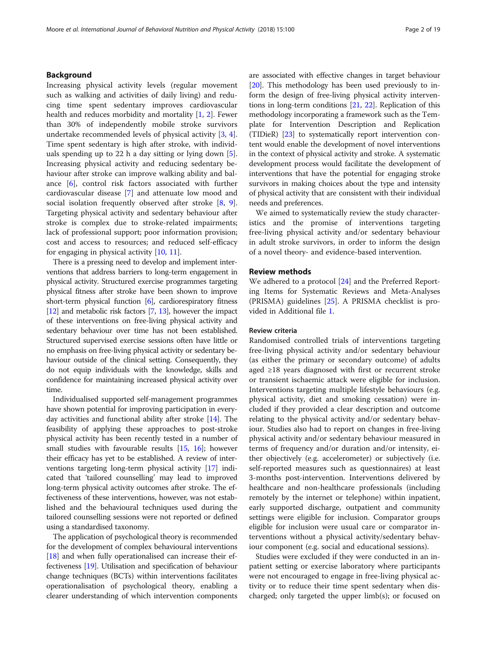# Background

Increasing physical activity levels (regular movement such as walking and activities of daily living) and reducing time spent sedentary improves cardiovascular health and reduces morbidity and mortality [\[1](#page-16-0), [2\]](#page-16-0). Fewer than 30% of independently mobile stroke survivors undertake recommended levels of physical activity [\[3](#page-16-0), [4](#page-16-0)]. Time spent sedentary is high after stroke, with individuals spending up to 22 h a day sitting or lying down [\[5](#page-16-0)]. Increasing physical activity and reducing sedentary behaviour after stroke can improve walking ability and balance [[6](#page-16-0)], control risk factors associated with further cardiovascular disease [\[7](#page-16-0)] and attenuate low mood and social isolation frequently observed after stroke [\[8](#page-16-0), [9](#page-16-0)]. Targeting physical activity and sedentary behaviour after stroke is complex due to stroke-related impairments; lack of professional support; poor information provision; cost and access to resources; and reduced self-efficacy for engaging in physical activity  $[10, 11]$  $[10, 11]$  $[10, 11]$ .

There is a pressing need to develop and implement interventions that address barriers to long-term engagement in physical activity. Structured exercise programmes targeting physical fitness after stroke have been shown to improve short-term physical function  $[6]$ , cardiorespiratory fitness [[12](#page-17-0)] and metabolic risk factors [\[7,](#page-16-0) [13\]](#page-17-0), however the impact of these interventions on free-living physical activity and sedentary behaviour over time has not been established. Structured supervised exercise sessions often have little or no emphasis on free-living physical activity or sedentary behaviour outside of the clinical setting. Consequently, they do not equip individuals with the knowledge, skills and confidence for maintaining increased physical activity over time.

Individualised supported self-management programmes have shown potential for improving participation in everyday activities and functional ability after stroke [\[14\]](#page-17-0). The feasibility of applying these approaches to post-stroke physical activity has been recently tested in a number of small studies with favourable results [[15](#page-17-0), [16](#page-17-0)]; however their efficacy has yet to be established. A review of interventions targeting long-term physical activity [[17\]](#page-17-0) indicated that 'tailored counselling' may lead to improved long-term physical activity outcomes after stroke. The effectiveness of these interventions, however, was not established and the behavioural techniques used during the tailored counselling sessions were not reported or defined using a standardised taxonomy.

The application of psychological theory is recommended for the development of complex behavioural interventions [[18](#page-17-0)] and when fully operationalised can increase their effectiveness [[19](#page-17-0)]. Utilisation and specification of behaviour change techniques (BCTs) within interventions facilitates operationalisation of psychological theory, enabling a clearer understanding of which intervention components are associated with effective changes in target behaviour [[20](#page-17-0)]. This methodology has been used previously to inform the design of free-living physical activity interventions in long-term conditions [\[21,](#page-17-0) [22\]](#page-17-0). Replication of this methodology incorporating a framework such as the Template for Intervention Description and Replication (TIDieR) [\[23\]](#page-17-0) to systematically report intervention content would enable the development of novel interventions in the context of physical activity and stroke. A systematic development process would facilitate the development of interventions that have the potential for engaging stroke survivors in making choices about the type and intensity of physical activity that are consistent with their individual needs and preferences.

We aimed to systematically review the study characteristics and the promise of interventions targeting free-living physical activity and/or sedentary behaviour in adult stroke survivors, in order to inform the design of a novel theory- and evidence-based intervention.

# Review methods

We adhered to a protocol [[24\]](#page-17-0) and the Preferred Reporting Items for Systematic Reviews and Meta-Analyses (PRISMA) guidelines [[25\]](#page-17-0). A PRISMA checklist is provided in Additional file [1.](#page-16-0)

# Review criteria

Randomised controlled trials of interventions targeting free-living physical activity and/or sedentary behaviour (as either the primary or secondary outcome) of adults aged ≥18 years diagnosed with first or recurrent stroke or transient ischaemic attack were eligible for inclusion. Interventions targeting multiple lifestyle behaviours (e.g. physical activity, diet and smoking cessation) were included if they provided a clear description and outcome relating to the physical activity and/or sedentary behaviour. Studies also had to report on changes in free-living physical activity and/or sedentary behaviour measured in terms of frequency and/or duration and/or intensity, either objectively (e.g. accelerometer) or subjectively (i.e. self-reported measures such as questionnaires) at least 3-months post-intervention. Interventions delivered by healthcare and non-healthcare professionals (including remotely by the internet or telephone) within inpatient, early supported discharge, outpatient and community settings were eligible for inclusion. Comparator groups eligible for inclusion were usual care or comparator interventions without a physical activity/sedentary behaviour component (e.g. social and educational sessions).

Studies were excluded if they were conducted in an inpatient setting or exercise laboratory where participants were not encouraged to engage in free-living physical activity or to reduce their time spent sedentary when discharged; only targeted the upper limb(s); or focused on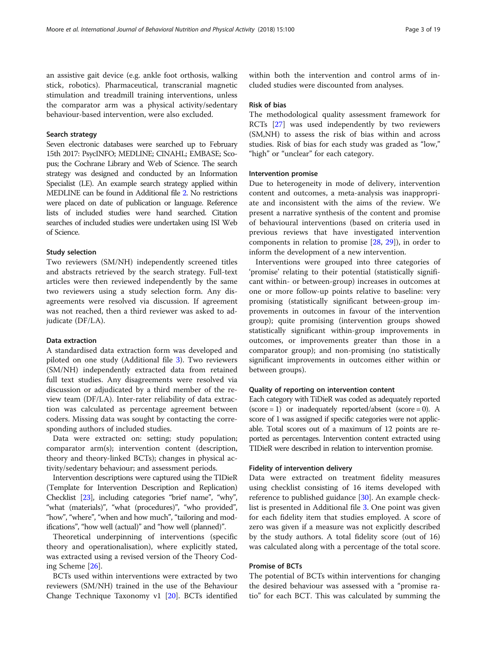an assistive gait device (e.g. ankle foot orthosis, walking stick, robotics). Pharmaceutical, transcranial magnetic stimulation and treadmill training interventions, unless the comparator arm was a physical activity/sedentary behaviour-based intervention, were also excluded.

# Search strategy

Seven electronic databases were searched up to February 15th 2017: PsycINFO; MEDLINE; CINAHL; EMBASE; Scopus; the Cochrane Library and Web of Science. The search strategy was designed and conducted by an Information Specialist (LE). An example search strategy applied within MEDLINE can be found in Additional file [2](#page-16-0). No restrictions were placed on date of publication or language. Reference lists of included studies were hand searched. Citation searches of included studies were undertaken using ISI Web of Science.

# Study selection

Two reviewers (SM/NH) independently screened titles and abstracts retrieved by the search strategy. Full-text articles were then reviewed independently by the same two reviewers using a study selection form. Any disagreements were resolved via discussion. If agreement was not reached, then a third reviewer was asked to adjudicate (DF/LA).

# Data extraction

A standardised data extraction form was developed and piloted on one study (Additional file [3](#page-16-0)). Two reviewers (SM/NH) independently extracted data from retained full text studies. Any disagreements were resolved via discussion or adjudicated by a third member of the review team (DF/LA). Inter-rater reliability of data extraction was calculated as percentage agreement between coders. Missing data was sought by contacting the corresponding authors of included studies.

Data were extracted on: setting; study population; comparator arm(s); intervention content (description, theory and theory-linked BCTs); changes in physical activity/sedentary behaviour; and assessment periods.

Intervention descriptions were captured using the TIDieR (Template for Intervention Description and Replication) Checklist [\[23\]](#page-17-0), including categories "brief name", "why", "what (materials)", "what (procedures)", "who provided", "how", "where", "when and how much", "tailoring and modifications", "how well (actual)" and "how well (planned)".

Theoretical underpinning of interventions (specific theory and operationalisation), where explicitly stated, was extracted using a revised version of the Theory Coding Scheme [\[26](#page-17-0)].

BCTs used within interventions were extracted by two reviewers (SM/NH) trained in the use of the Behaviour Change Technique Taxonomy v1 [\[20\]](#page-17-0). BCTs identified within both the intervention and control arms of included studies were discounted from analyses.

#### Risk of bias

The methodological quality assessment framework for RCTs [\[27\]](#page-17-0) was used independently by two reviewers (SM,NH) to assess the risk of bias within and across studies. Risk of bias for each study was graded as "low," "high" or "unclear" for each category.

# Intervention promise

Due to heterogeneity in mode of delivery, intervention content and outcomes, a meta-analysis was inappropriate and inconsistent with the aims of the review. We present a narrative synthesis of the content and promise of behavioural interventions (based on criteria used in previous reviews that have investigated intervention components in relation to promise [\[28,](#page-17-0) [29](#page-17-0)]), in order to inform the development of a new intervention.

Interventions were grouped into three categories of 'promise' relating to their potential (statistically significant within- or between-group) increases in outcomes at one or more follow-up points relative to baseline: very promising (statistically significant between-group improvements in outcomes in favour of the intervention group); quite promising (intervention groups showed statistically significant within-group improvements in outcomes, or improvements greater than those in a comparator group); and non-promising (no statistically significant improvements in outcomes either within or between groups).

# Quality of reporting on intervention content

Each category with TiDieR was coded as adequately reported  $(score = 1)$  or inadequately reported/absent  $(score = 0)$ . A score of 1 was assigned if specific categories were not applicable. Total scores out of a maximum of 12 points are reported as percentages. Intervention content extracted using TIDieR were described in relation to intervention promise.

#### Fidelity of intervention delivery

Data were extracted on treatment fidelity measures using checklist consisting of 16 items developed with reference to published guidance  $[30]$  $[30]$ . An example checklist is presented in Additional file [3.](#page-16-0) One point was given for each fidelity item that studies employed. A score of zero was given if a measure was not explicitly described by the study authors. A total fidelity score (out of 16) was calculated along with a percentage of the total score.

### Promise of BCTs

The potential of BCTs within interventions for changing the desired behaviour was assessed with a "promise ratio" for each BCT. This was calculated by summing the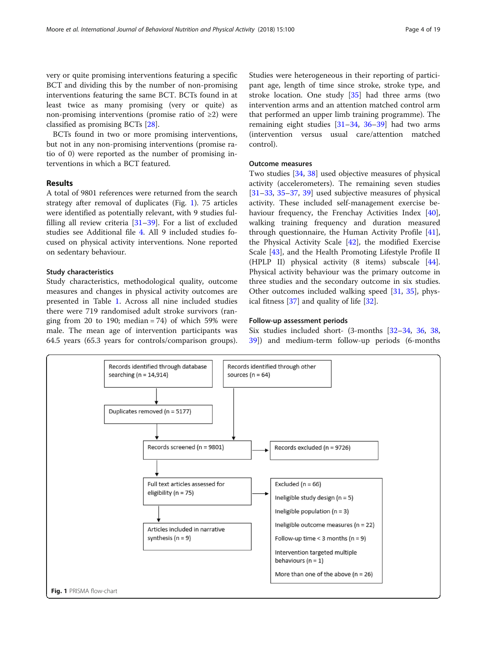very or quite promising interventions featuring a specific BCT and dividing this by the number of non-promising interventions featuring the same BCT. BCTs found in at least twice as many promising (very or quite) as non-promising interventions (promise ratio of ≥2) were classified as promising BCTs [\[28\]](#page-17-0).

BCTs found in two or more promising interventions, but not in any non-promising interventions (promise ratio of 0) were reported as the number of promising interventions in which a BCT featured.

# Results

A total of 9801 references were returned from the search strategy after removal of duplicates (Fig. 1). 75 articles were identified as potentially relevant, with 9 studies fulfilling all review criteria [\[31](#page-17-0)–[39](#page-17-0)]. For a list of excluded studies see Additional file [4](#page-16-0). All 9 included studies focused on physical activity interventions. None reported on sedentary behaviour.

# Study characteristics

Study characteristics, methodological quality, outcome measures and changes in physical activity outcomes are presented in Table [1.](#page-4-0) Across all nine included studies there were 719 randomised adult stroke survivors (ranging from 20 to 190; median  $= 74$ ) of which 59% were male. The mean age of intervention participants was 64.5 years (65.3 years for controls/comparison groups). Studies were heterogeneous in their reporting of participant age, length of time since stroke, stroke type, and stroke location. One study [\[35](#page-17-0)] had three arms (two intervention arms and an attention matched control arm that performed an upper limb training programme). The remaining eight studies  $[31-34, 36-39]$  $[31-34, 36-39]$  $[31-34, 36-39]$  $[31-34, 36-39]$  $[31-34, 36-39]$  $[31-34, 36-39]$  $[31-34, 36-39]$  had two arms (intervention versus usual care/attention matched control).

# Outcome measures

Two studies [\[34,](#page-17-0) [38\]](#page-17-0) used objective measures of physical activity (accelerometers). The remaining seven studies [[31](#page-17-0)–[33](#page-17-0), [35](#page-17-0)–[37,](#page-17-0) [39](#page-17-0)] used subjective measures of physical activity. These included self-management exercise be-haviour frequency, the Frenchay Activities Index [\[40](#page-17-0)], walking training frequency and duration measured through questionnaire, the Human Activity Profile [\[41](#page-17-0)], the Physical Activity Scale [\[42\]](#page-17-0), the modified Exercise Scale [\[43](#page-17-0)], and the Health Promoting Lifestyle Profile II (HPLP II) physical activity (8 items) subscale [\[44](#page-17-0)]. Physical activity behaviour was the primary outcome in three studies and the secondary outcome in six studies. Other outcomes included walking speed [\[31,](#page-17-0) [35\]](#page-17-0), physical fitness [[37](#page-17-0)] and quality of life [\[32](#page-17-0)].

#### Follow-up assessment periods

Six studies included short- (3-months [[32](#page-17-0)–[34](#page-17-0), [36](#page-17-0), [38](#page-17-0), [39\]](#page-17-0)) and medium-term follow-up periods (6-months

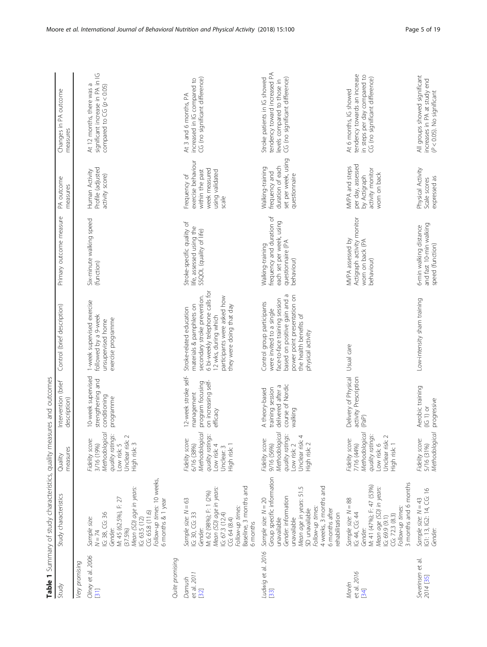<span id="page-4-0"></span>

|                                      | Table 1 Summary of study characteristics, quality measures and outcomes                                                                                                                                                                |                                                                                                                       |                                                                                           |                                                                                                                                                                                                            |                                                                                                              |                                                                                                    |                                                                                                                               |
|--------------------------------------|----------------------------------------------------------------------------------------------------------------------------------------------------------------------------------------------------------------------------------------|-----------------------------------------------------------------------------------------------------------------------|-------------------------------------------------------------------------------------------|------------------------------------------------------------------------------------------------------------------------------------------------------------------------------------------------------------|--------------------------------------------------------------------------------------------------------------|----------------------------------------------------------------------------------------------------|-------------------------------------------------------------------------------------------------------------------------------|
| Study                                | Study characteristics                                                                                                                                                                                                                  | measures<br>Quality                                                                                                   | Intervention (brief<br>description)                                                       | Control (brief description)                                                                                                                                                                                | Primary outcome measure                                                                                      | PA outcome<br>measures                                                                             | Changes in PA outcome<br>measures                                                                                             |
| Very promising                       |                                                                                                                                                                                                                                        |                                                                                                                       |                                                                                           |                                                                                                                                                                                                            |                                                                                                              |                                                                                                    |                                                                                                                               |
| Olney et al. 2006<br>$\overline{31}$ | Follow-up times: 10 weeks,<br>Mean (SD) age in years:<br>M: 45 (62.5%), F: 27<br>6 months & 1 year<br>CC: 65.8(11.6)<br>IG: 38, CG: 36<br>Sample size:<br>IG: 63.5 (12)<br>Gender:<br>(37.5%)<br>$N = 74$                              | Methodological<br>quality ratings:<br>Unclear risk: 2<br>Fidelity score:<br>High risk: 3<br>3/16 (19%)<br>Low risk: 5 | 10-week supervised<br>strengthening and<br>conditioning<br>programme                      | 1-week supervised exercise<br>followed by a 9-week<br>exercise programme<br>unsupervised home                                                                                                              | Six-minute walking speed<br>(function)                                                                       | Profile (adjusted<br>Human Activity<br>activity score)                                             | significant increase in PA in IG<br>At 12 months, there was a<br>compared to $CG (p < 0.05)$                                  |
| Quite promising                      |                                                                                                                                                                                                                                        |                                                                                                                       |                                                                                           |                                                                                                                                                                                                            |                                                                                                              |                                                                                                    |                                                                                                                               |
| et al. 2011<br>Damush<br>32]         | Baseline, 3 months and<br>Mean (SD) age in years:<br>M: 62 (98%); F: 1 (2%)<br>Sample size: $N = 63$<br>Follow-up times:<br>IG: 30, CG: 33<br>IG: 67.3 (12.4)<br>CG: 64 (8.4)<br>6 months<br>Gender:                                   | Methodological<br>quality ratings:<br>Fidelity score:<br>6/16 (38%)<br>High risk: 1<br>Low risk: 4<br>Unclear: 3      | 12-week stroke self-<br>on increasing self-<br>program focusing<br>management<br>efficacy | 6 bi-weekly telephone calls for<br>secondary stroke prevention.<br>participants were asked how<br>materials & pamphlets on<br>they were doing that day<br>Stroke-related education<br>12 wks, during which | Stroke-specific quality of<br>life, assessed using the<br>SSQOL (quality of life)                            | exercise behaviour<br>week measured<br>within the past<br>using validated<br>Frequency of<br>scale | CG (no significant difference)<br>increased in IG compared to<br>At 3 and 6 months, PA                                        |
| Ludwig et al. 2016<br>$[33]$         | Group specific information<br>4 weeks, 3 months and<br>Mean age in years: 51.5<br>Gender: information<br>Sample size: $N = 20$<br>Follow-up times:<br>6 months after<br>SD unavailable<br>rehabilitation<br>unavailable<br>unavailable | Methodological<br>quality ratings:<br>Fidelity score:<br>Unclear risk: 4<br>High risk: 2<br>9/16 (56%)<br>Low risk: 2 | course of Nordic<br>delivered after a<br>training session<br>A theory-based<br>walking    | based on positive gain and a<br>power point presentation on<br>ace-to-face training session<br>Control group participants<br>were invited to a single<br>the health benefits of<br>physical activity       | frequency and duration of<br>each set per week, using<br>questionnaire (PA<br>Walking-training<br>behaviour) | set per week, using<br>duration of each<br>Walking-training<br>frequency and<br>questionnaire      | tendency toward increased PA<br>Stroke patients in IG showed<br>CG (no significant difference)<br>levels compared to those in |
| et al. 2016<br>Morén<br>[34]         | 3 months and 6 months<br>M: 41 (47%); F: 47 (53%)<br>Mean age (SD) in years:<br>Sample size: $N = 88$<br>Follow-up times:<br>IC: 44, CG: 44<br>CG: 72.3 (8.3)<br>IG: 69.9(9.1)<br>Gender:                                              | Methodological<br>quality ratings:<br>Unclear risk: 2<br>Fidelity score:<br>Low risk: 6<br>High risk: 1<br>7/16 (44%) | Delivery of Physical<br>activity Prescription<br>(PaP)                                    | Usual care                                                                                                                                                                                                 | Actigraph activity monitor<br>MVPA assessed by<br>worn on back (PA<br>behaviour)                             | per day, assessed<br>MVPA and steps<br>activity monitor<br>worn on back<br>by Actigraph            | tendency towards an increase<br>in steps per day compared to<br>CG (no significant difference)<br>At 6 months, IG showed      |
| Severinsen et al.<br>2014 [35]       | IG1: 13, IG2: 14, CG: 16<br>Sample size: $N = 43$<br>Gender:                                                                                                                                                                           | Methodological<br>Fidelity score:<br>5/16 (31%)                                                                       | Aerobic training<br>progressive<br>$(IG 1)$ or                                            | Low-intensity sham training                                                                                                                                                                                | and fast 10-min walking<br>6-min walking distance<br>speed (function)                                        | Physical Activity<br>expressed as<br>Scale scores                                                  | All groups showed significant<br>increases in PA at study end<br>(P < 0.05). No significant                                   |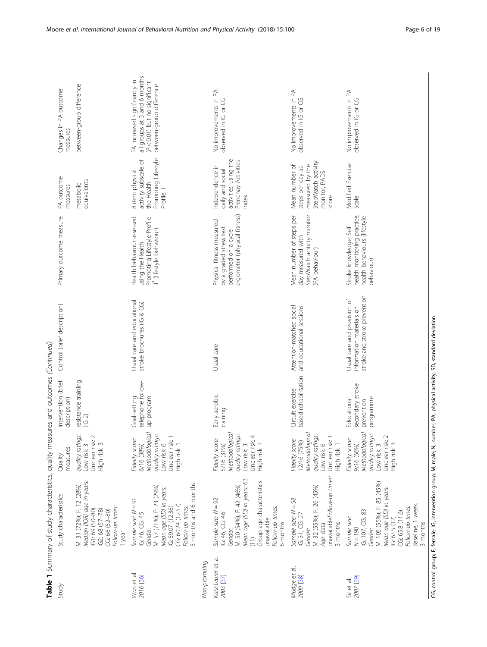|                                 | Table 1 Summary of study characteristics, quality measures and outcomes (Continued)                                                                                                                          |                                                                                                                        |                                                            |                                                                                         |                                                                                                                       |                                                                                                       |                                                                                                                              |
|---------------------------------|--------------------------------------------------------------------------------------------------------------------------------------------------------------------------------------------------------------|------------------------------------------------------------------------------------------------------------------------|------------------------------------------------------------|-----------------------------------------------------------------------------------------|-----------------------------------------------------------------------------------------------------------------------|-------------------------------------------------------------------------------------------------------|------------------------------------------------------------------------------------------------------------------------------|
| Study                           | Study characteristics                                                                                                                                                                                        | measures<br>Quality                                                                                                    | Intervention (brief<br>description)                        | Control (brief description)                                                             | Primary outcome measure                                                                                               | PA outcome<br>measures                                                                                | Changes in PA outcome<br>measures                                                                                            |
|                                 | Median (IQR) age in years:<br>M: 31 (72%); F: 12 (28%)<br>Follow-up times:<br>(G1: 69 (50-80)<br>$IG2: 68 (57 - 78)$<br>$CG: 66 (52 - 80)$<br>1 year                                                         | quality ratings:<br>Unclear risk: 2<br>High risk: 3<br>Low risk: 3                                                     | resistance training<br>(IG 2)                              |                                                                                         |                                                                                                                       | equivalents<br>metabolic                                                                              | between-group difference                                                                                                     |
| Wan et al<br>2016 [36]          | 3 months and 6 months<br>M: 57 (71%); F: 23 (29%)<br>Mean age (SD) in years:<br>Sample size: $N = 91$<br>CG: 60.24 (12.57)<br>IG: 59.07 (12.36)<br>Follow-up times:<br>IG: 46, CG: 45<br>Gender:             | Methodological<br>quality ratings:<br>Jnclear risk: 1<br>Fidelity score:<br>Low risk: 6<br>High risk: 1<br>6/16 (38%)  | telephone follow-<br>Goal-setting<br>up program            | Usual care and educational<br>stroke brochures (IG & CG)                                | Promoting Lifestyle Profile<br>Il <sup>3</sup> (lifestyle behaviour)<br>Health behaviour assessed<br>using the Health | Promoting Lifestyle<br>activity subscale of<br>8 item physical<br>the Health<br>Profile II            | all groups at 3 and 6 months<br>$(P < 0.01)$ but no significant<br>PA increased significantly in<br>between-group difference |
| Non-promising                   |                                                                                                                                                                                                              |                                                                                                                        |                                                            |                                                                                         |                                                                                                                       |                                                                                                       |                                                                                                                              |
| Katz-Leurer et al.<br>2003 [37] | Mean age (SD) in years: 63<br>Group age characteristics<br>M: 50 (54%); F: 42 (46%)<br>Sample size: N = 92<br>Follow-up times:<br>IG: 46, CG: 46<br>unavailable<br>6 months<br>Gender:<br>$\widehat{\equiv}$ | Methodological<br>quality ratings:<br>Unclear risk: 4<br>Fidelity score:<br>5/16 (31%)<br>Low risk: 3<br>High risk: 1  | Early aerobic<br>training                                  | Usual care                                                                              | ergometer (physical fitness)<br>Physical fitness measured<br>by a graded stress test<br>performed on a cycle          | activities, using the<br>Frenchay Activities<br>Independence in<br>daily and social<br>Index          | No improvements in PA<br>observed in IG or CG                                                                                |
| Mudge et al.<br>2009 [38]       | unavailableFollow-up times:<br>M: 32 (55%); F: 26 (45%)<br>Sample size: N = 58<br>IG: 31, CG: 27<br>3 months<br>Age: data<br>Gender:                                                                         | Methodological<br>quality ratings:<br>Unclear risk: 1<br>Fidelity score:<br>12/16 (75%)<br>Low risk: 6<br>High risk: 1 | based rehabilitation<br>Circuit exercise                   | Attention-matched social<br>and educational sessions                                    | StepWatch activity monitor<br>Mean number of steps per<br>day measured with<br>(PA behaviour)                         | StepWatch activity<br>measured by the<br>Mean number of<br>steps per day as<br>monitor, PADS<br>score | No improvements in PA<br>observed in IG or CG                                                                                |
| 2007 [39]<br>Sit et al.         | M: 105 (55%); F: 85 (45%)<br>Mean age (SD) in years:<br>IG: 63.5 (12)<br>Baseline, 1 week,<br>Follow-up times:<br>IG: 107, CG: 83<br>CG: 65.8(11.6)<br>Sample size:<br>3 months<br>$N = 190$<br>Gender:      | Methodological<br>quality ratings:<br>Jnclear risk: 2<br>Fidelity score:<br>High risk: 3<br>9/16 (56%)<br>Low risk: 3  | secondary stroke<br>programme<br>Educational<br>prevention | stroke and stroke prevention<br>Usual care and provision of<br>information materials on | health monitoring practice;<br>health behaviours (lifestyle<br>Stroke knowledge; Self<br>behaviour)                   | Modified Exercise<br>Scale                                                                            | No improvements in PA<br>observed in IG or CG                                                                                |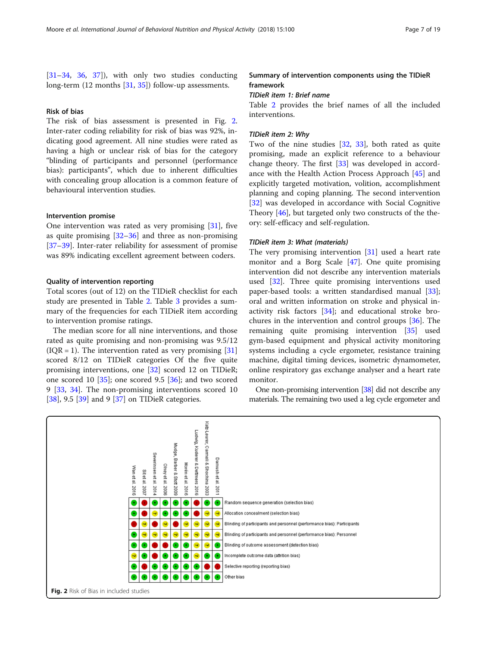[[31](#page-17-0)–[34](#page-17-0), [36](#page-17-0), [37](#page-17-0)]), with only two studies conducting long-term (12 months [\[31](#page-17-0), [35](#page-17-0)]) follow-up assessments.

# Risk of bias

The risk of bias assessment is presented in Fig. 2. Inter-rater coding reliability for risk of bias was 92%, indicating good agreement. All nine studies were rated as having a high or unclear risk of bias for the category "blinding of participants and personnel (performance bias): participants", which due to inherent difficulties with concealing group allocation is a common feature of behavioural intervention studies.

# Intervention promise

One intervention was rated as very promising [\[31](#page-17-0)], five as quite promising  $[32-36]$  $[32-36]$  $[32-36]$  $[32-36]$  $[32-36]$  and three as non-promising [[37](#page-17-0)–[39](#page-17-0)]. Inter-rater reliability for assessment of promise was 89% indicating excellent agreement between coders.

# Quality of intervention reporting

Total scores (out of 12) on the TIDieR checklist for each study are presented in Table [2.](#page-7-0) Table [3](#page-10-0) provides a summary of the frequencies for each TIDieR item according to intervention promise ratings.

The median score for all nine interventions, and those rated as quite promising and non-promising was 9.5/12  $(IQR = 1)$ . The intervention rated as very promising [[31](#page-17-0)] scored 8/12 on TIDieR categories Of the five quite promising interventions, one [[32](#page-17-0)] scored 12 on TIDieR; one scored 10 [[35\]](#page-17-0); one scored 9.5 [[36\]](#page-17-0); and two scored 9 [\[33](#page-17-0), [34\]](#page-17-0). The non-promising interventions scored 10 [[38\]](#page-17-0), 9.5 [\[39\]](#page-17-0) and 9 [[37\]](#page-17-0) on TIDieR categories.

# Summary of intervention components using the TIDieR framework

# TIDieR item 1: Brief name

Table [2](#page-7-0) provides the brief names of all the included interventions.

# TIDieR item 2: Why

Two of the nine studies [\[32,](#page-17-0) [33\]](#page-17-0), both rated as quite promising, made an explicit reference to a behaviour change theory. The first [[33\]](#page-17-0) was developed in accordance with the Health Action Process Approach [\[45\]](#page-17-0) and explicitly targeted motivation, volition, accomplishment planning and coping planning. The second intervention [[32\]](#page-17-0) was developed in accordance with Social Cognitive Theory [\[46](#page-17-0)], but targeted only two constructs of the theory: self-efficacy and self-regulation.

# TIDieR item 3: What (materials)

The very promising intervention [\[31\]](#page-17-0) used a heart rate monitor and a Borg Scale [[47\]](#page-17-0). One quite promising intervention did not describe any intervention materials used [[32\]](#page-17-0). Three quite promising interventions used paper-based tools: a written standardised manual [\[33](#page-17-0)]; oral and written information on stroke and physical inactivity risk factors [\[34](#page-17-0)]; and educational stroke brochures in the intervention and control groups [[36](#page-17-0)]. The remaining quite promising intervention [[35\]](#page-17-0) used gym-based equipment and physical activity monitoring systems including a cycle ergometer, resistance training machine, digital timing devices, isometric dynamometer, online respiratory gas exchange analyser and a heart rate monitor.

One non-promising intervention [[38\]](#page-17-0) did not describe any materials. The remaining two used a leg cycle ergometer and

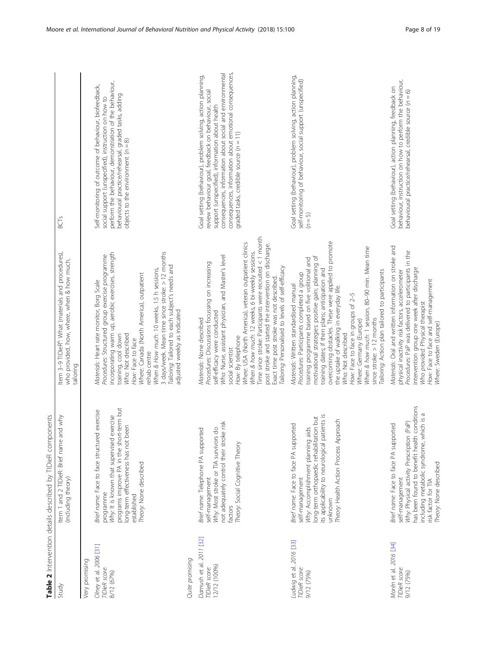<span id="page-7-0"></span>

|                                                                 | Table 2 Intervention details described by TIDieR components                                                                                                                                                                                             |                                                                                                                                                                                                                                                                                                                                                                                                                                                                                                                                                                                  |                                                                                                                                                                                                                                                                                                                                           |
|-----------------------------------------------------------------|---------------------------------------------------------------------------------------------------------------------------------------------------------------------------------------------------------------------------------------------------------|----------------------------------------------------------------------------------------------------------------------------------------------------------------------------------------------------------------------------------------------------------------------------------------------------------------------------------------------------------------------------------------------------------------------------------------------------------------------------------------------------------------------------------------------------------------------------------|-------------------------------------------------------------------------------------------------------------------------------------------------------------------------------------------------------------------------------------------------------------------------------------------------------------------------------------------|
| Study                                                           | Item 1 and 2 TIDieR: Brief name and why<br>(including theory)                                                                                                                                                                                           | Item 3-9 TIDieR <sup>e</sup> : What (materials and procedures),<br>who provided, how, where, when & how much,<br>tailoring                                                                                                                                                                                                                                                                                                                                                                                                                                                       | BCT <sub>S</sub>                                                                                                                                                                                                                                                                                                                          |
| Very promising                                                  |                                                                                                                                                                                                                                                         |                                                                                                                                                                                                                                                                                                                                                                                                                                                                                                                                                                                  |                                                                                                                                                                                                                                                                                                                                           |
| Olney et al. 2006 [31]<br><b>TIDieR</b> score:<br>8/12 (67%)    | programs improve PA in the short-term but<br>Brief name: Face to face structured exercise<br>exercise<br>long-term effectiveness has not been<br>Why: It is known that supervised<br>Theory: None described<br>programme<br>established                 | 3 days/week. Mean time since stroke: > 12 months<br>incorporating warm up, aerobic exercises, strength<br>Procedures: Structured group exercise programme<br>Tailoring: Tailored to each subject's needs and<br>When & How much: 10 weeks, 1.5 h sessions,<br>Where: Canada (North America), outpatient<br>Materials: Heart rate monitor, Borg Scale<br>adjusted weekly as indicated<br>Who: Not described<br>training, cool down<br>How: Face to face<br>rehab centre                                                                                                           | perform the behaviour, demonstration of the behaviour,<br>Self-monitoring of outcome of behaviour, biofeedback,<br>behavioural practice/rehearsal, graded tasks, adding<br>social support (unspecified), instruction on how to<br>objects to the environment ( $n = 8$ )                                                                  |
| Quite promising                                                 |                                                                                                                                                                                                                                                         |                                                                                                                                                                                                                                                                                                                                                                                                                                                                                                                                                                                  |                                                                                                                                                                                                                                                                                                                                           |
| Damush et al. 2011 [32]<br>12/12 (100%)<br><b>TIDieR</b> score: | not adequately control their stroke risk<br>Why: Most stroke or TIA survivors do<br>Brief name: Telephone PA supported<br>Theory: Social Cognitive Theory<br>self-management<br>factors                                                                 | Time since stroke: Participants were recruited < 1 month<br>Where: USA (North America), veteran outpatient clinics<br>post stroke and started the intervention on discharge.<br>When & how much: 12 weeks, 6 bi-weekly sessions.<br>Who: Nurse, assistant physician, and Master's level<br>Procedures: Discussions focussing on increasing<br>Tailoring: Personalised to levels of self-efficacy<br>Exact time post stroke was not described.<br>self-efficacy were conducted<br>Materials: None described<br>How: By telephone<br>social scientist                              | consequences, information about emotional consequences,<br>consequences, information about social and environmental<br>Goal setting (behaviour), problem solving, action planning,<br>review behaviour goal, feedback on behaviour, social<br>support (unspecified), information about health<br>graded tasks, credible source $(n = 11)$ |
| Ludwig et al. 2016 [33]<br><b>TDieR</b> score:<br>9/12 (75%)    | its applicability to neurological patients is<br>long-term orthopaedic rehabilitation but<br>Theory: Health Action Process Approach<br>Brief name: Face to face PA supported<br>Why: Accomplishment planning aids<br>self-management<br>unknown         | overcoming obstacles. These were applied to promote<br>When & how much: 1 session, 80-90 min. Mean time<br>motivational strategies: positive gain; planning of<br>training programme based on five volitional and<br>training dates; if then plans; anticipation and<br>Tailoring: Action plan tailored to participants<br>Procedures: Participants completed a group<br>Materials: Written standardised manual<br>the uptake of walking in everyday life.<br>How: Face to face in groups of 2-5<br>since stroke: $> 12$ months<br>Where: Germany (Europe)<br>Who: Not described | Goal setting (behaviour), problem solving, action planning,<br>self-monitoring of behaviour, social support (unspecified)<br>$(n = 5)$                                                                                                                                                                                                    |
| Morén et al. 2016 [34]<br><b>TIDieR</b> score:<br>9/12 (75%)    | conditions<br>including metabolic syndrome, which is a<br>(PaP)<br>Brief name: Face to face PA supported<br>Why: Physical activity Prescription<br>has been found to benefit health<br>Theory: None described<br>self-management<br>risk factor for TIA | Materials: Oral and written information on stroke and<br>Procedures: PaP was delivered to participants in the<br>intervention group one week after discharge<br>physical inactivity risk factors, accelerometer<br>How: Face to face and self-management<br>Who provided: Physical therapist<br>Where: Sweden (Europe)                                                                                                                                                                                                                                                           | behaviour, instruction on how to perform the behaviour,<br>Goal setting (behaviour), action planning, feedback on<br>behavioural practice/rehearsal, credible source (n = 6)                                                                                                                                                              |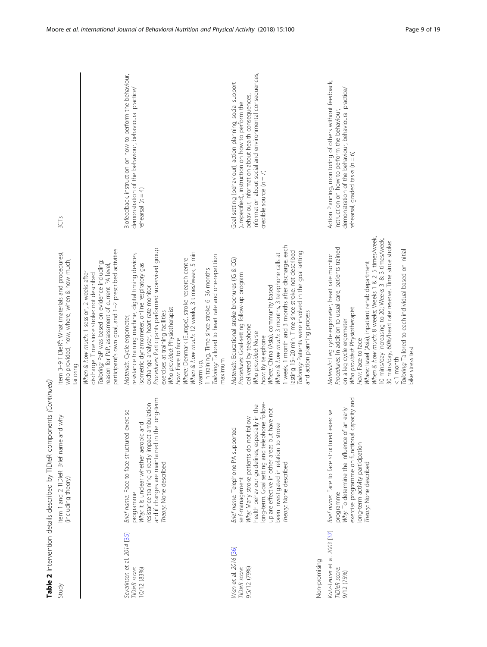| Study                                                              | Table 2 Intervention details described by TIDieR components (Continued)<br>and 2 TIDieR: Brief name and why<br>(including theory)<br>Item 1                                                                                                                                                                                 | item 3-9 TIDieR <sup>2</sup> : What (materials and procedures),<br>who provided, how, where, when & how much,<br>tailoring                                                                                                                                                                                                                                                                                                                                                                                                                                         | BCT <sub>S</sub>                                                                                                                                                                                                                                            |
|--------------------------------------------------------------------|-----------------------------------------------------------------------------------------------------------------------------------------------------------------------------------------------------------------------------------------------------------------------------------------------------------------------------|--------------------------------------------------------------------------------------------------------------------------------------------------------------------------------------------------------------------------------------------------------------------------------------------------------------------------------------------------------------------------------------------------------------------------------------------------------------------------------------------------------------------------------------------------------------------|-------------------------------------------------------------------------------------------------------------------------------------------------------------------------------------------------------------------------------------------------------------|
|                                                                    |                                                                                                                                                                                                                                                                                                                             | participant's own goal, and 1-2 prescribed activities<br>Tailoring: PaP was based on evidence including:<br>reason for PaP, assessment of current PA level,<br>When & how much: 1 session, 2 weeks after<br>discharge. Time since stroke: not described                                                                                                                                                                                                                                                                                                            |                                                                                                                                                                                                                                                             |
| Severinsen et al. 2014 [35]<br><b>TIDieR</b> score:<br>10/12 (83%) | and if changes are maintained in the long-term<br>resistance training directly impact ambulation<br>exercise<br>and<br>Brief name: Face to face structured<br>Why: It is unclear whether aerobic<br>Theory: None described<br>programme                                                                                     | Procedures: Participants performed supervised group<br>When & how much: 12 weeks, 3 times/week, 5 min<br>resistance training machine, digital timing devices,<br>Tailoring: Tailored to heart rate and one-repetition<br>Where: Denmark (Europe), stroke research centre<br>isometric dynamometer, online respiratory gas<br>1 h training. Time since stroke: 6-36 months<br>exchange analyser, heart rate monitor<br>Who provided: Physiotherapist<br>exercises at training facilities<br>Materials: Cycle ergometer,<br>How: Face to face<br>maximum<br>warm up, | Biofeedback, instruction on how to perform the behaviour,<br>demonstration of the behaviour, behavioural practice/<br>rehearsal $(n = 4)$                                                                                                                   |
| Wan et al. 2016 [36]<br>9.5/12 (79%)<br><b>TIDieR</b> score:       | long-term. Goal setting and telephone follow-<br>health behaviour guidelines, especially in the<br>up are effective in other areas but have not<br>follow<br>been investigated in relation to stroke<br>Brief name: Telephone PA supported<br>Why: Many stroke patients do not<br>Theory: None described<br>self-management | 1 week, 1 month and 3 months after discharge, each<br>asting 15-20 min. Time since stroke: not described<br>Tailoring: Patients were involved in the goal setting<br>When & how much: 3 months, 3 telephone calls at<br>Materials: Educational stroke brochures (IG & CG)<br>Procedures: Goal-setting follow-up program<br>Where: China (Asia), community based<br>and action planning process<br>delivered by telephone<br>Who provided: Nurse<br>How: By telephone                                                                                               | information about social and environmental consequences,<br>Goal setting (behaviour), action planning, social support<br>behaviour, information about health consequences,<br>(unspecified), instruction on how to perform the<br>credible source $(n = 7)$ |
| Non-promising                                                      |                                                                                                                                                                                                                                                                                                                             |                                                                                                                                                                                                                                                                                                                                                                                                                                                                                                                                                                    |                                                                                                                                                                                                                                                             |
| Katz-Leurer et al. 2003 [37]<br><b>TIDieR</b> score:<br>9/12 (75%) | exercise programme on functional capacity and<br>Why. To determine the influence of an early<br>exercise<br>Brief name: Face to face structured<br>long-term activity participation<br>Theory: None described<br>programme                                                                                                  | When & how much: 8 weeks; Weeks 1 & 2: 5 times/week,<br>10 mins/day increasing to 20; Weeks 3-8: 3 times/week,<br>30 mins/day, 60%/heart rate reserve. Time since stroke:<br>Procedures: In addition to usual care, patients trained<br>Tailoring: Tailored to each individual based on initial<br>Materials: Leg cycle ergometer, heart rate monitor<br>Where: Israel (Asia), inpatient rehab department<br>Who provided: Physiotherapist<br>on a leg cycle ergometer<br>How: Face to face<br>oike stress test<br>$< 1$ month                                     | Action Planning, monitoring of others without feedback,<br>demonstration of the behaviour, behavioural practice/<br>instruction on how to perform the behaviour,<br>rehearsal, graded tasks (n = 6)                                                         |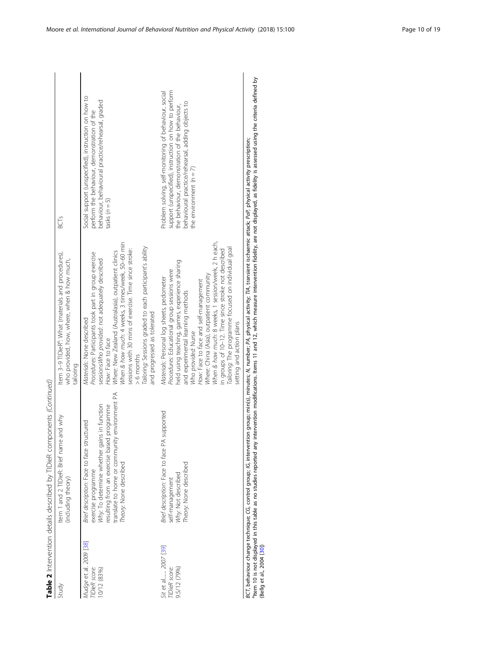|                                                               | Table 2 Intervention details described by TIDieR components (Continued)                                                                                                                                                                       |                                                                                                                                                                                                                                                                                                                                                                                                                                                                                               |                                                                                                                                                                                                                                                   |
|---------------------------------------------------------------|-----------------------------------------------------------------------------------------------------------------------------------------------------------------------------------------------------------------------------------------------|-----------------------------------------------------------------------------------------------------------------------------------------------------------------------------------------------------------------------------------------------------------------------------------------------------------------------------------------------------------------------------------------------------------------------------------------------------------------------------------------------|---------------------------------------------------------------------------------------------------------------------------------------------------------------------------------------------------------------------------------------------------|
| Study                                                         | Item 1 and 2 TIDieR: Brief name and why<br>(including theory)                                                                                                                                                                                 | Item 3-9 TIDieR <sup>2</sup> : What (materials and procedures),<br>who provided, how, where, when & how much,<br>tailoring                                                                                                                                                                                                                                                                                                                                                                    | BCTs                                                                                                                                                                                                                                              |
| Mudge et al. 2009 [38]<br><b>TIDieR</b> score:<br>10/12 (83%) | translate to home or community environment PA<br>Why: To determine whether gains in function<br>d programme<br>Brief description: Face to face structured<br>resulting from an exercise based<br>Theory: None described<br>exercise programme | When & how much: 4 weeks, 3 times/week, 50-60 min<br>Tailoring: Sessions graded to each participant's ability<br>sessions with 30 mins of exercise. Time since stroke:<br>Where: New Zealand (Australasia), outpatient clinics<br>Procedures: Participants took part in group exercise<br>sessionsWho provided: not adequately described<br>and progressed as tolerated<br>Materials: None described<br>How: Face to face<br>$> 6$ months                                                     | Social support (unspecified), instruction on how to<br>behaviour, behavioural practice/rehearsal, graded<br>perform the behaviour, demonstration of the<br>$r = 5$                                                                                |
| Sit et al 2007 [39]<br>9.5/12 (79%)<br><b>TIDieR</b> score:   | supported<br>Brief description: Face to face PA<br>Theory: None described<br>Why: Not described<br>self-management                                                                                                                            | When & how much: 8 weeks, 1 session/week, 2 h each,<br>Tailoring: The programme focused on individual goal<br>in groups of 10-12. Time since stroke not described<br>held using teaching, games, experience sharing<br>Procedures: Educational group sessions were<br>Where: China (Asia), outpatient community<br>Materials: Personal log sheets, pedometer<br>How: Face to face and self-management<br>and experimental learning methods<br>setting and action plans<br>Who provided: Nurse | support (unspecified), instruction on how to perform<br>Problem solving, self-monitoring of behaviour, social<br>behavioural practice/rehearsal, adding objects to<br>the behaviour, demonstration of the behaviour,<br>the environment $(n = 7)$ |
|                                                               |                                                                                                                                                                                                                                               |                                                                                                                                                                                                                                                                                                                                                                                                                                                                                               |                                                                                                                                                                                                                                                   |

BCT, behaviour change technique; CG, control group; /G, intervention group; min(s), minutes; N, number; PA, physical activity; TA, transient ischaemic attack; PaP, physical activity prescription;<br>"Item 10 is not displayed aItem 10 is not displayed in this table as no studies reported any intervention modifications. Items 11 and 12, which measure intervention fidelity, are not displayed, as fidelity is assessed using the criteria defined by BCT, behaviour change technique; CG, control group; IG, intervention group; min(s), minutes; N, number; PA, physical activity; TIA, transient ischaemic attack; PaP, physical activity prescription; (Bellg et al., 2004 [[30](#page-17-0)])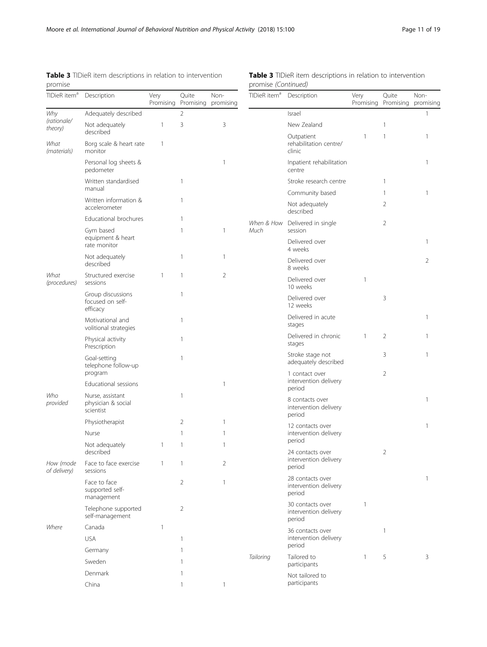| promise                   |                                                     |                   |                    |                   | promise (Continued)      |                                               |
|---------------------------|-----------------------------------------------------|-------------------|--------------------|-------------------|--------------------------|-----------------------------------------------|
| TIDieR item <sup>a</sup>  | Description                                         | Very<br>Promising | Quite<br>Promising | Non-<br>promising | TIDieR item <sup>a</sup> | Description                                   |
| Why                       | Adequately described                                |                   | 2                  |                   |                          | Israel                                        |
| (rationale/<br>theory)    | Not adequately<br>described                         | 1                 | 3                  | 3                 |                          | New Zealand                                   |
| What<br>(materials)       | Borg scale & heart rate<br>monitor                  | 1                 |                    |                   |                          | Outpatient<br>rehabilitation<br>clinic        |
|                           | Personal log sheets &<br>pedometer                  |                   |                    | 1                 |                          | Inpatient reha<br>centre                      |
|                           | Written standardised<br>manual                      |                   | 1                  |                   |                          | Stroke resear                                 |
|                           | Written information &<br>accelerometer              |                   | 1                  |                   |                          | Community b<br>Not adequate                   |
|                           | Educational brochures                               |                   | 1                  |                   |                          | described                                     |
|                           | Gym based<br>equipment & heart                      |                   | 1                  | 1                 | When & How<br>Much       | Delivered in s<br>session                     |
|                           | rate monitor                                        |                   |                    |                   |                          | Delivered ove<br>4 weeks                      |
|                           | Not adequately<br>described                         |                   | 1                  | 1                 |                          | Delivered ove<br>8 weeks                      |
| What<br>(procedures)      | Structured exercise<br>sessions                     | 1                 | 1                  | 2                 |                          | Delivered ove<br>10 weeks                     |
|                           | Group discussions<br>focused on self-<br>efficacy   |                   | 1                  |                   |                          | Delivered ove<br>12 weeks                     |
|                           | Motivational and<br>volitional strategies           |                   | 1                  |                   |                          | Delivered in a<br>stages                      |
|                           | Physical activity<br>Prescription                   |                   | 1                  |                   |                          | Delivered in a<br>stages                      |
|                           | Goal-setting<br>telephone follow-up<br>program      |                   | 1                  |                   |                          | Stroke stage<br>adequately d<br>1 contact ove |
|                           | Educational sessions                                |                   |                    | 1                 |                          | intervention o                                |
| Who<br>provided           | Nurse, assistant<br>physician & social<br>scientist |                   | 1                  |                   |                          | period<br>8 contacts ov<br>intervention o     |
|                           | Physiotherapist                                     |                   | 2                  | 1                 |                          | period                                        |
|                           | Nurse                                               |                   | 1                  | 1                 |                          | 12 contacts c<br>intervention o               |
|                           | Not adequately<br>described                         | 1                 | 1                  | 1                 |                          | period<br>24 contacts c                       |
| How (mode<br>of delivery) | Face to face exercise<br>sessions                   | 1                 | 1                  | 2                 |                          | intervention o<br>period                      |
|                           | Face to face<br>supported self-<br>management       |                   | 2                  | 1                 |                          | 28 contacts c<br>intervention o<br>period     |
|                           | Telephone supported<br>self-management              |                   | 2                  |                   |                          | 30 contacts c<br>intervention<br>period       |
| Where                     | Canada                                              | 1                 |                    |                   |                          | 36 contacts c                                 |
|                           | <b>USA</b>                                          |                   | 1                  |                   |                          | intervention o                                |
|                           | Germany                                             |                   | 1                  |                   |                          | period                                        |

Sweden 1 Denmark 1

China 1 1

<span id="page-10-0"></span>Table 3 TIDieR item descriptions in relation to intervention

# Table 3 TIDieR item descriptions in relation to intervention

| TIDieR item <sup>a</sup> | Description                                         | Very | Quite<br>Promising Promising | Non-<br>promising |
|--------------------------|-----------------------------------------------------|------|------------------------------|-------------------|
|                          | Israel                                              |      |                              | 1                 |
|                          | New Zealand                                         |      | 1                            |                   |
|                          | Outpatient<br>rehabilitation centre/<br>clinic      | 1    | 1                            | 1                 |
|                          | Inpatient rehabilitation<br>centre                  |      |                              | 1                 |
|                          | Stroke research centre                              |      | 1                            |                   |
|                          | Community based                                     |      | 1                            | 1                 |
|                          | Not adequately<br>described                         |      | 2                            |                   |
| When & How<br>Much       | Delivered in single<br>session                      |      | 2                            |                   |
|                          | Delivered over<br>4 weeks                           |      |                              | 1                 |
|                          | Delivered over<br>8 weeks                           |      |                              | 2                 |
|                          | Delivered over<br>10 weeks                          | 1    |                              |                   |
|                          | Delivered over<br>12 weeks                          |      | 3                            |                   |
|                          | Delivered in acute<br>stages                        |      |                              | 1                 |
|                          | Delivered in chronic<br>stages                      | 1    | 2                            | 1                 |
|                          | Stroke stage not<br>adequately described            |      | 3                            | 1                 |
|                          | 1 contact over<br>intervention delivery<br>period   |      | 2                            |                   |
|                          | 8 contacts over<br>intervention delivery<br>period  |      |                              | 1                 |
|                          | 12 contacts over<br>intervention delivery<br>period |      |                              | 1                 |
|                          | 24 contacts over<br>intervention delivery<br>period |      | 2                            |                   |
|                          | 28 contacts over<br>intervention delivery<br>period |      |                              | 1                 |
|                          | 30 contacts over<br>intervention delivery<br>period | 1    |                              |                   |
|                          | 36 contacts over<br>intervention delivery<br>period |      | 1                            |                   |
| Tailoring                | Tailored to<br>participants                         | 1    | 5                            | 3                 |
|                          | Not tailored to                                     |      |                              |                   |

participants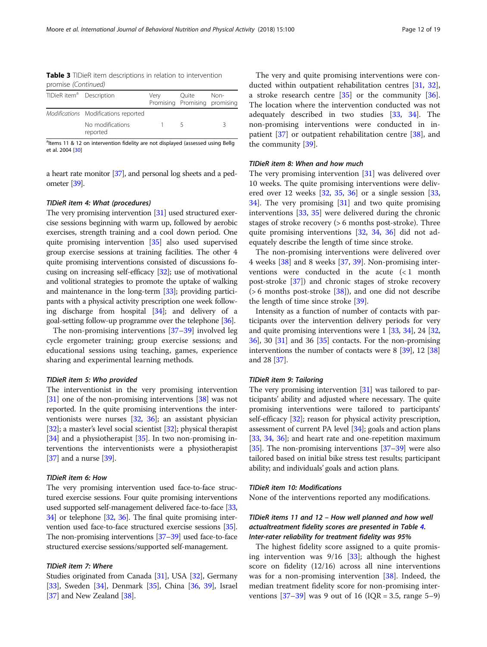Table 3 TIDieR item descriptions in relation to intervention promise (Continued)

| TIDieR item <sup>a</sup> Description |                                      | Verv | Quite<br>Promising Promising promising | Non- |
|--------------------------------------|--------------------------------------|------|----------------------------------------|------|
|                                      | Modifications Modifications reported |      |                                        |      |
|                                      | No modifications<br>reported         |      | 5                                      | ς    |

<sup>a</sup>ltems 11 & 12 on intervention fidelity are not displayed (assessed using Bellg et al. 2004 [\[30\]](#page-17-0)

a heart rate monitor [\[37](#page-17-0)], and personal log sheets and a pedometer [\[39\]](#page-17-0).

# TIDieR item 4: What (procedures)

The very promising intervention [\[31\]](#page-17-0) used structured exercise sessions beginning with warm up, followed by aerobic exercises, strength training and a cool down period. One quite promising intervention [\[35\]](#page-17-0) also used supervised group exercise sessions at training facilities. The other 4 quite promising interventions consisted of discussions focusing on increasing self-efficacy [\[32\]](#page-17-0); use of motivational and volitional strategies to promote the uptake of walking and maintenance in the long-term [[33](#page-17-0)]; providing participants with a physical activity prescription one week following discharge from hospital [\[34\]](#page-17-0); and delivery of a goal-setting follow-up programme over the telephone [[36](#page-17-0)].

The non-promising interventions [\[37](#page-17-0)–[39\]](#page-17-0) involved leg cycle ergometer training; group exercise sessions; and educational sessions using teaching, games, experience sharing and experimental learning methods.

# TIDieR item 5: Who provided

The interventionist in the very promising intervention [[31](#page-17-0)] one of the non-promising interventions [[38](#page-17-0)] was not reported. In the quite promising interventions the interventionists were nurses [[32,](#page-17-0) [36](#page-17-0)]; an assistant physician [[32](#page-17-0)]; a master's level social scientist [\[32](#page-17-0)]; physical therapist [[34](#page-17-0)] and a physiotherapist [\[35](#page-17-0)]. In two non-promising interventions the interventionists were a physiotherapist [[37](#page-17-0)] and a nurse [\[39](#page-17-0)].

# TIDieR item 6: How

The very promising intervention used face-to-face structured exercise sessions. Four quite promising interventions used supported self-management delivered face-to-face [\[33](#page-17-0), [34](#page-17-0)] or telephone [[32](#page-17-0), [36](#page-17-0)]. The final quite promising intervention used face-to-face structured exercise sessions [\[35](#page-17-0)]. The non-promising interventions [[37](#page-17-0)–[39](#page-17-0)] used face-to-face structured exercise sessions/supported self-management.

### TIDieR item 7: Where

Studies originated from Canada [[31](#page-17-0)], USA [\[32\]](#page-17-0), Germany [[33](#page-17-0)], Sweden [[34](#page-17-0)], Denmark [\[35\]](#page-17-0), China [\[36,](#page-17-0) [39](#page-17-0)], Israel  $[37]$  $[37]$  $[37]$  and New Zealand  $[38]$ .

The very and quite promising interventions were conducted within outpatient rehabilitation centres [\[31](#page-17-0), [32](#page-17-0)], a stroke research centre [[35\]](#page-17-0) or the community [\[36](#page-17-0)]. The location where the intervention conducted was not adequately described in two studies [[33,](#page-17-0) [34](#page-17-0)]. The non-promising interventions were conducted in inpatient [[37\]](#page-17-0) or outpatient rehabilitation centre [[38\]](#page-17-0), and the community [\[39](#page-17-0)].

# TIDieR item 8: When and how much

The very promising intervention [[31\]](#page-17-0) was delivered over 10 weeks. The quite promising interventions were delivered over 12 weeks [\[32](#page-17-0), [35](#page-17-0), [36\]](#page-17-0) or a single session [[33](#page-17-0), [34\]](#page-17-0). The very promising [[31](#page-17-0)] and two quite promising interventions [\[33](#page-17-0), [35\]](#page-17-0) were delivered during the chronic stages of stroke recovery (> 6 months post-stroke). Three quite promising interventions [[32,](#page-17-0) [34](#page-17-0), [36](#page-17-0)] did not adequately describe the length of time since stroke.

The non-promising interventions were delivered over 4 weeks [[38](#page-17-0)] and 8 weeks [[37](#page-17-0), [39\]](#page-17-0). Non-promising interventions were conducted in the acute  $( $1$  month$ post-stroke [[37\]](#page-17-0)) and chronic stages of stroke recovery  $(> 6$  months post-stroke  $[38]$  $[38]$ , and one did not describe the length of time since stroke [[39\]](#page-17-0).

Intensity as a function of number of contacts with participants over the intervention delivery periods for very and quite promising interventions were 1 [\[33,](#page-17-0) [34\]](#page-17-0), 24 [[32](#page-17-0), [36](#page-17-0)], 30 [\[31](#page-17-0)] and 36 [\[35\]](#page-17-0) contacts. For the non-promising interventions the number of contacts were 8 [[39\]](#page-17-0), 12 [[38](#page-17-0)] and 28 [\[37](#page-17-0)].

# TIDieR item 9: Tailoring

The very promising intervention [\[31\]](#page-17-0) was tailored to participants' ability and adjusted where necessary. The quite promising interventions were tailored to participants' self-efficacy [[32](#page-17-0)]; reason for physical activity prescription, assessment of current PA level [[34](#page-17-0)]; goals and action plans [[33](#page-17-0), [34,](#page-17-0) [36](#page-17-0)]; and heart rate and one-repetition maximum [[35](#page-17-0)]. The non-promising interventions  $[37-39]$  $[37-39]$  $[37-39]$  $[37-39]$  were also tailored based on initial bike stress test results; participant ability; and individuals' goals and action plans.

# TIDieR item 10: Modifications

None of the interventions reported any modifications.

# TIDieR items 11 and 12 – How well planned and how well actualtreatment fidelity scores are presented in Table [4.](#page-12-0) Inter-rater reliability for treatment fidelity was 95%

The highest fidelity score assigned to a quite promising intervention was 9/16 [[33\]](#page-17-0); although the highest score on fidelity (12/16) across all nine interventions was for a non-promising intervention [[38\]](#page-17-0). Indeed, the median treatment fidelity score for non-promising interventions  $[37–39]$  $[37–39]$  $[37–39]$  $[37–39]$  $[37–39]$  was 9 out of 16 (IQR = 3.5, range 5–9)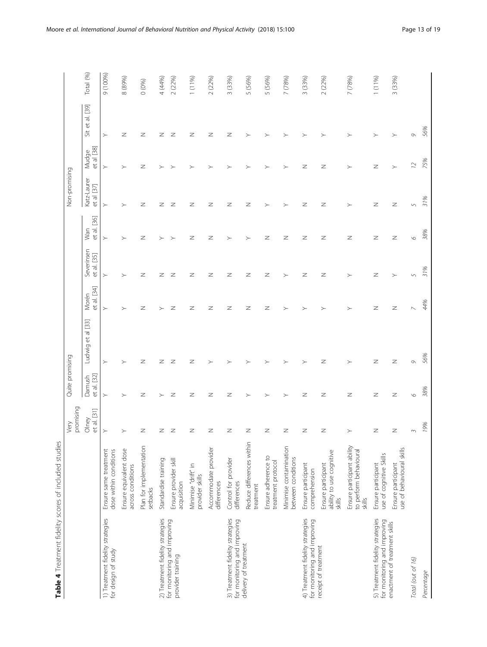Table 4 Treatment fidelity scores of included studies Table 4 Treatment fidelity scores of included studies

<span id="page-12-0"></span>

|                                                                  |                                                                | promising<br>Very    | Quite promising       |                                                               |                          |                           |                    | Non-promising             |                     |                                                                                                                                                                                                                                                                                                                                                                                                                                                                                                                                                                      |                         |
|------------------------------------------------------------------|----------------------------------------------------------------|----------------------|-----------------------|---------------------------------------------------------------|--------------------------|---------------------------|--------------------|---------------------------|---------------------|----------------------------------------------------------------------------------------------------------------------------------------------------------------------------------------------------------------------------------------------------------------------------------------------------------------------------------------------------------------------------------------------------------------------------------------------------------------------------------------------------------------------------------------------------------------------|-------------------------|
|                                                                  |                                                                | et al. [31]<br>Olney | et al. [32]<br>Damush | $\overline{33}$<br>$\overline{\sigma}$<br>$\vec{v}$<br>Ludwig | et al. [34]<br>Morén     | Severinsen<br>et al. [35] | et al. [36]<br>Wan | Katz-Laurer<br>et al [37] | et al [38]<br>Mudge | $[39]$<br>$\frac{1}{6}$<br>₫<br>Sit                                                                                                                                                                                                                                                                                                                                                                                                                                                                                                                                  | Total (%)               |
| 1) Treatment fidelity strategies<br>for design of study          | Ensure same treatment<br>dose within conditions                | ≻                    | ≻                     | ≻                                                             | ≻                        | ≻                         | ≻                  | ≻                         | ≻                   | $\succ$                                                                                                                                                                                                                                                                                                                                                                                                                                                                                                                                                              | 9 (100%)                |
|                                                                  | Ensure equivalent dose<br>across conditions                    |                      | ≻                     |                                                               |                          | ≻                         | ≻                  | ≻                         |                     | z                                                                                                                                                                                                                                                                                                                                                                                                                                                                                                                                                                    | 8 (89%)                 |
|                                                                  | Plan for implementation<br>setbacks                            | z                    | z                     | z                                                             | z                        | z                         | z                  | Z                         | z                   | z                                                                                                                                                                                                                                                                                                                                                                                                                                                                                                                                                                    | 0(0%                    |
| 2) Treatment fidelity strategies                                 | Standardise training                                           | z                    |                       | z                                                             |                          | z                         |                    | z                         |                     | z                                                                                                                                                                                                                                                                                                                                                                                                                                                                                                                                                                    | 4 (44%)                 |
| for monitoring and improving<br>provider training                | Ensure provider skill<br>acquisition                           | z                    | z                     | z                                                             | z                        | Z                         |                    | z                         |                     | z                                                                                                                                                                                                                                                                                                                                                                                                                                                                                                                                                                    | 2 (22%)                 |
|                                                                  | Minimise "drift" in<br>provider skills                         | z                    | Z                     | z                                                             | z                        | z                         | z                  | z                         |                     | z                                                                                                                                                                                                                                                                                                                                                                                                                                                                                                                                                                    | 1(196                   |
|                                                                  | Accommodate provider<br>differences                            | z                    | z                     |                                                               | z                        | z                         | z                  | z                         |                     | z                                                                                                                                                                                                                                                                                                                                                                                                                                                                                                                                                                    | 2 (22%)                 |
| 3) Treatment fidelity strategies<br>for monitoring and improving | Control for provider<br>differences                            | z                    | z                     |                                                               | z                        | z                         | ≻                  | z                         | >                   | z                                                                                                                                                                                                                                                                                                                                                                                                                                                                                                                                                                    | 3 (33%)                 |
| delivery of treatment                                            | Reduce differences within<br>treatment                         | z                    | ≻                     |                                                               | z                        | z                         | ≻                  | z                         |                     |                                                                                                                                                                                                                                                                                                                                                                                                                                                                                                                                                                      | 5 (56%)                 |
|                                                                  | Ensure adherence to<br>treatment protocol                      | z                    | ≻                     |                                                               | z                        | z                         | z                  | ≻                         | ≻                   |                                                                                                                                                                                                                                                                                                                                                                                                                                                                                                                                                                      | 5 (56%)                 |
|                                                                  | Minimise contamination<br>between conditions                   | z                    | >                     |                                                               |                          | ≻                         | z                  | ≻                         |                     |                                                                                                                                                                                                                                                                                                                                                                                                                                                                                                                                                                      | (78%)<br>$\overline{C}$ |
| 4) Treatment fidelity strategies<br>for monitoring and improving | Ensure participant<br>comprehension                            | z                    | z                     |                                                               |                          | z                         | z                  | z                         | z                   |                                                                                                                                                                                                                                                                                                                                                                                                                                                                                                                                                                      | (33%)<br>$\infty$       |
| receipt of treatment                                             | ability to use cognitive<br>Ensure participant<br>skills       | z                    | Z                     | z                                                             |                          | z                         | z                  | z                         | Z                   |                                                                                                                                                                                                                                                                                                                                                                                                                                                                                                                                                                      | (22%)<br>$\sim$         |
|                                                                  | Ensure participant ability<br>to perform behavioural<br>skills |                      | Z                     |                                                               |                          | ≻                         | z                  |                           |                     |                                                                                                                                                                                                                                                                                                                                                                                                                                                                                                                                                                      | 7 (78%)                 |
| 5) Treatment fidelity strategies<br>for monitoring and improving | use of cognitive Skills<br>Ensure participant                  | z                    | Z                     | z                                                             | z                        | z                         | z                  | z                         | z                   |                                                                                                                                                                                                                                                                                                                                                                                                                                                                                                                                                                      | (11%)                   |
| enactment of treatment skills                                    | use of behavioural skills<br>Ensure participant                | Z                    | Ζ                     | z                                                             | Z                        | $\succ$                   | z                  | Z                         | $\rightarrow$       | $\left. \right. \right. \left. \right. \left. \right. \left. \right. \left. \right. \left. \right. \left. \left. \right. \left. \right. \left. \right. \left. \left. \right. \right. \left. \left. \right. \left. \left. \right. \right. \left. \left. \right. \left. \right. \left. \left. \right. \right. \left. \left. \right. \right. \left. \left. \right. \right. \left. \left. \right. \right. \left. \left. \right. \left. \left. \right. \right. \left. \left. \right. \right. \left. \left. \right. \right. \left. \left. \right. \left. \left. \right. \$ | (33%)<br>$\infty$       |
| Total (out of 16)                                                |                                                                | $\infty$             | 9                     | $\sigma$                                                      | $\overline{\phantom{0}}$ | $\overline{5}$            | 9                  | $\sqrt{2}$                | $\overline{12}$     | $\mathcal{O}$                                                                                                                                                                                                                                                                                                                                                                                                                                                                                                                                                        |                         |
| Percentage                                                       |                                                                | 19%                  | 38%                   | 56%                                                           | 44%                      | 31%                       | 38%                | 31%                       | 75%                 | 56%                                                                                                                                                                                                                                                                                                                                                                                                                                                                                                                                                                  |                         |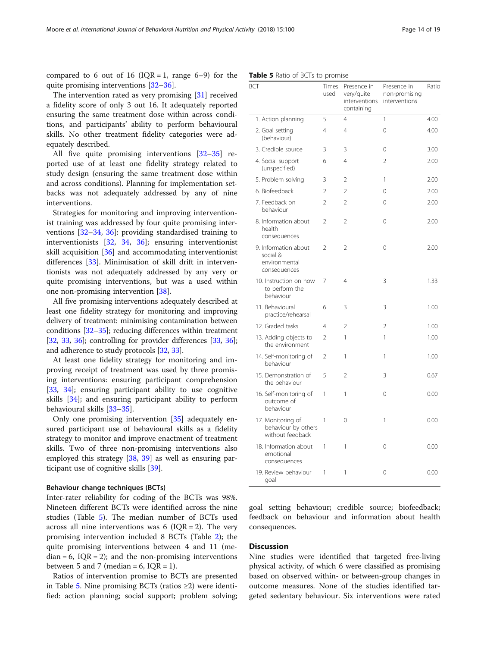compared to 6 out of 16 ( $IQR = 1$ , range 6–9) for the quite promising interventions [\[32](#page-17-0)–[36\]](#page-17-0).

The intervention rated as very promising [[31\]](#page-17-0) received a fidelity score of only 3 out 16. It adequately reported ensuring the same treatment dose within across conditions, and participants' ability to perform behavioural skills. No other treatment fidelity categories were adequately described.

All five quite promising interventions [\[32](#page-17-0)–[35](#page-17-0)] reported use of at least one fidelity strategy related to study design (ensuring the same treatment dose within and across conditions). Planning for implementation setbacks was not adequately addressed by any of nine interventions.

Strategies for monitoring and improving interventionist training was addressed by four quite promising interventions [\[32](#page-17-0)–[34,](#page-17-0) [36](#page-17-0)]: providing standardised training to interventionists [[32,](#page-17-0) [34](#page-17-0), [36](#page-17-0)]; ensuring interventionist skill acquisition [[36](#page-17-0)] and accommodating interventionist differences [\[33\]](#page-17-0). Minimisation of skill drift in interventionists was not adequately addressed by any very or quite promising interventions, but was a used within one non-promising intervention [\[38](#page-17-0)].

All five promising interventions adequately described at least one fidelity strategy for monitoring and improving delivery of treatment: minimising contamination between conditions [[32](#page-17-0)–[35\]](#page-17-0); reducing differences within treatment [[32](#page-17-0), [33,](#page-17-0) [36\]](#page-17-0); controlling for provider differences [\[33,](#page-17-0) [36](#page-17-0)]; and adherence to study protocols [\[32](#page-17-0), [33](#page-17-0)].

At least one fidelity strategy for monitoring and improving receipt of treatment was used by three promising interventions: ensuring participant comprehension [[33,](#page-17-0) [34](#page-17-0)]; ensuring participant ability to use cognitive skills [[34\]](#page-17-0); and ensuring participant ability to perform behavioural skills [\[33](#page-17-0)–[35\]](#page-17-0).

Only one promising intervention [[35\]](#page-17-0) adequately ensured participant use of behavioural skills as a fidelity strategy to monitor and improve enactment of treatment skills. Two of three non-promising interventions also employed this strategy [\[38](#page-17-0), [39](#page-17-0)] as well as ensuring participant use of cognitive skills [[39\]](#page-17-0).

# Behaviour change techniques (BCTs)

Inter-rater reliability for coding of the BCTs was 98%. Nineteen different BCTs were identified across the nine studies (Table 5). The median number of BCTs used across all nine interventions was 6 ( $IQR = 2$ ). The very promising intervention included 8 BCTs (Table [2\)](#page-7-0); the quite promising interventions between 4 and 11 (me $dian = 6$ ,  $IQR = 2$ ); and the non-promising interventions between 5 and 7 (median = 6,  $IQR = 1$ ).

Ratios of intervention promise to BCTs are presented in Table 5. Nine promising BCTs (ratios ≥2) were identified: action planning; social support; problem solving;

|  |  |  |  | <b>Table 5</b> Ratio of BCTs to promise |
|--|--|--|--|-----------------------------------------|
|--|--|--|--|-----------------------------------------|

| BСТ                                                               | Times<br>used  | Presence in<br>very/quite<br>interventions<br>containing | Presence in<br>non-promising<br>interventions | Ratio |
|-------------------------------------------------------------------|----------------|----------------------------------------------------------|-----------------------------------------------|-------|
| 1. Action planning                                                | 5              | 4                                                        | 1                                             | 4.00  |
| 2. Goal setting<br>(behaviour)                                    | 4              | 4                                                        | $\mathbf 0$                                   | 4.00  |
| 3. Credible source                                                | 3              | 3                                                        | 0                                             | 3.00  |
| 4. Social support<br>(unspecified)                                | 6              | $\overline{4}$                                           | $\overline{2}$                                | 2.00  |
| 5. Problem solving                                                | 3              | $\overline{2}$                                           | 1                                             | 2.00  |
| 6. Biofeedback                                                    | 2              | $\overline{2}$                                           | 0                                             | 2.00  |
| 7. Feedback on<br>behaviour                                       | $\overline{2}$ | $\overline{2}$                                           | 0                                             | 2.00  |
| 8. Information about<br>health<br>consequences                    | $\mathfrak{D}$ | $\mathfrak{D}$                                           | 0                                             | 2.00  |
| 9. Information about<br>social &<br>environmental<br>consequences | $\mathfrak{D}$ | $\mathfrak{D}$                                           | 0                                             | 2.00  |
| 10. Instruction on how<br>to perform the<br>behaviour             | 7              | 4                                                        | 3                                             | 1.33  |
| 11. Behavioural<br>practice/rehearsal                             | 6              | 3                                                        | 3                                             | 1.00  |
| 12. Graded tasks                                                  | 4              | $\mathfrak{D}$                                           | 2                                             | 1.00  |
| 13. Adding objects to<br>the environment                          | 2              | 1                                                        | 1                                             | 1.00  |
| 14. Self-monitoring of<br>behaviour                               | 2              | 1                                                        | 1                                             | 1.00  |
| 15. Demonstration of<br>the behaviour                             | 5              | $\overline{2}$                                           | 3                                             | 0.67  |
| 16. Self-monitoring of<br>outcome of<br>behaviour                 | 1              | 1                                                        | 0                                             | 0.00  |
| 17. Monitoring of<br>behaviour by others<br>without feedback      | 1              | 0                                                        | 1                                             | 0.00  |
| 18. Information about<br>emotional<br>consequences                | 1              | 1                                                        | 0                                             | 0.00  |
| 19. Review behaviour<br>goal                                      | 1              | 1                                                        | 0                                             | 0.00  |

goal setting behaviour; credible source; biofeedback; feedback on behaviour and information about health consequences.

# Discussion

Nine studies were identified that targeted free-living physical activity, of which 6 were classified as promising based on observed within- or between-group changes in outcome measures. None of the studies identified targeted sedentary behaviour. Six interventions were rated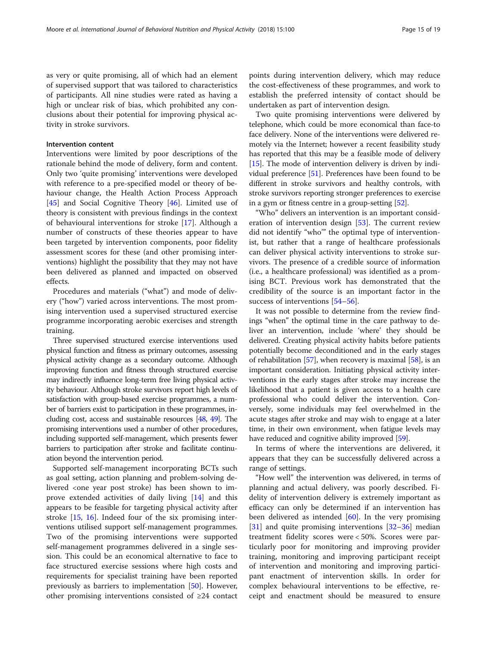as very or quite promising, all of which had an element of supervised support that was tailored to characteristics of participants. All nine studies were rated as having a high or unclear risk of bias, which prohibited any conclusions about their potential for improving physical activity in stroke survivors.

# Intervention content

Interventions were limited by poor descriptions of the rationale behind the mode of delivery, form and content. Only two 'quite promising' interventions were developed with reference to a pre-specified model or theory of behaviour change, the Health Action Process Approach [[45\]](#page-17-0) and Social Cognitive Theory [[46](#page-17-0)]. Limited use of theory is consistent with previous findings in the context of behavioural interventions for stroke [[17\]](#page-17-0). Although a number of constructs of these theories appear to have been targeted by intervention components, poor fidelity assessment scores for these (and other promising interventions) highlight the possibility that they may not have been delivered as planned and impacted on observed effects.

Procedures and materials ("what") and mode of delivery ("how") varied across interventions. The most promising intervention used a supervised structured exercise programme incorporating aerobic exercises and strength training.

Three supervised structured exercise interventions used physical function and fitness as primary outcomes, assessing physical activity change as a secondary outcome. Although improving function and fitness through structured exercise may indirectly influence long-term free living physical activity behaviour. Although stroke survivors report high levels of satisfaction with group-based exercise programmes, a number of barriers exist to participation in these programmes, including cost, access and sustainable resources [\[48,](#page-17-0) [49\]](#page-17-0). The promising interventions used a number of other procedures, including supported self-management, which presents fewer barriers to participation after stroke and facilitate continuation beyond the intervention period.

Supported self-management incorporating BCTs such as goal setting, action planning and problem-solving delivered <one year post stroke) has been shown to improve extended activities of daily living [[14\]](#page-17-0) and this appears to be feasible for targeting physical activity after stroke [\[15,](#page-17-0) [16](#page-17-0)]. Indeed four of the six promising interventions utilised support self-management programmes. Two of the promising interventions were supported self-management programmes delivered in a single session. This could be an economical alternative to face to face structured exercise sessions where high costs and requirements for specialist training have been reported previously as barriers to implementation [[50](#page-17-0)]. However, other promising interventions consisted of ≥24 contact points during intervention delivery, which may reduce the cost-effectiveness of these programmes, and work to establish the preferred intensity of contact should be undertaken as part of intervention design.

Two quite promising interventions were delivered by telephone, which could be more economical than face-to face delivery. None of the interventions were delivered remotely via the Internet; however a recent feasibility study has reported that this may be a feasible mode of delivery [[15](#page-17-0)]. The mode of intervention delivery is driven by individual preference [\[51\]](#page-17-0). Preferences have been found to be different in stroke survivors and healthy controls, with stroke survivors reporting stronger preferences to exercise in a gym or fitness centre in a group-setting [\[52\]](#page-17-0).

"Who" delivers an intervention is an important consideration of intervention design [[53\]](#page-17-0). The current review did not identify "who'" the optimal type of interventionist, but rather that a range of healthcare professionals can deliver physical activity interventions to stroke survivors. The presence of a credible source of information (i.e., a healthcare professional) was identified as a promising BCT. Previous work has demonstrated that the credibility of the source is an important factor in the success of interventions [\[54](#page-17-0)–[56\]](#page-17-0).

It was not possible to determine from the review findings "when" the optimal time in the care pathway to deliver an intervention, include 'where' they should be delivered. Creating physical activity habits before patients potentially become deconditioned and in the early stages of rehabilitation [\[57\]](#page-18-0), when recovery is maximal [\[58\]](#page-18-0), is an important consideration. Initiating physical activity interventions in the early stages after stroke may increase the likelihood that a patient is given access to a health care professional who could deliver the intervention. Conversely, some individuals may feel overwhelmed in the acute stages after stroke and may wish to engage at a later time, in their own environment, when fatigue levels may have reduced and cognitive ability improved [[59](#page-18-0)].

In terms of where the interventions are delivered, it appears that they can be successfully delivered across a range of settings.

"How well" the intervention was delivered, in terms of planning and actual delivery, was poorly described. Fidelity of intervention delivery is extremely important as efficacy can only be determined if an intervention has been delivered as intended  $[60]$  $[60]$ . In the very promising [[31\]](#page-17-0) and quite promising interventions [[32](#page-17-0)–[36](#page-17-0)] median treatment fidelity scores were < 50%. Scores were particularly poor for monitoring and improving provider training, monitoring and improving participant receipt of intervention and monitoring and improving participant enactment of intervention skills. In order for complex behavioural interventions to be effective, receipt and enactment should be measured to ensure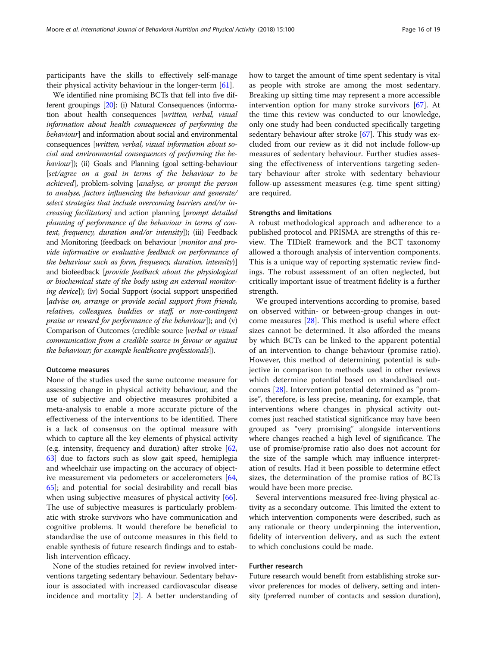participants have the skills to effectively self-manage their physical activity behaviour in the longer-term [\[61\]](#page-18-0).

We identified nine promising BCTs that fell into five different groupings [\[20\]](#page-17-0): (i) Natural Consequences (information about health consequences [written, verbal, visual information about health consequences of performing the behaviour] and information about social and environmental consequences [written, verbal, visual information about social and environmental consequences of performing the behaviour]); (ii) Goals and Planning (goal setting-behaviour [set/agree on a goal in terms of the behaviour to be achieved], problem-solving [analyse, or prompt the person to analyse, factors influencing the behaviour and generate/ select strategies that include overcoming barriers and/or increasing facilitators] and action planning [prompt detailed planning of performance of the behaviour in terms of context, frequency, duration and/or intensity]); (iii) Feedback and Monitoring (feedback on behaviour [monitor and provide informative or evaluative feedback on performance of the behaviour such as form, frequency, duration, intensity)] and biofeedback [provide feedback about the physiological or biochemical state of the body using an external monitoring device]); (iv) Social Support (social support unspecified [advise on, arrange or provide social support from friends, relatives, colleagues, buddies or staff, or non-contingent praise or reward for performance of the behaviour]); and (v) Comparison of Outcomes (credible source [verbal or visual communication from a credible source in favour or against the behaviour; for example healthcare professionals]).

# Outcome measures

None of the studies used the same outcome measure for assessing change in physical activity behaviour, and the use of subjective and objective measures prohibited a meta-analysis to enable a more accurate picture of the effectiveness of the interventions to be identified. There is a lack of consensus on the optimal measure with which to capture all the key elements of physical activity (e.g. intensity, frequency and duration) after stroke [[62](#page-18-0), [63\]](#page-18-0) due to factors such as slow gait speed, hemiplegia and wheelchair use impacting on the accuracy of objective measurement via pedometers or accelerometers [[64](#page-18-0), [65\]](#page-18-0); and potential for social desirability and recall bias when using subjective measures of physical activity [\[66](#page-18-0)]. The use of subjective measures is particularly problematic with stroke survivors who have communication and cognitive problems. It would therefore be beneficial to standardise the use of outcome measures in this field to enable synthesis of future research findings and to establish intervention efficacy.

None of the studies retained for review involved interventions targeting sedentary behaviour. Sedentary behaviour is associated with increased cardiovascular disease incidence and mortality [[2](#page-16-0)]. A better understanding of how to target the amount of time spent sedentary is vital as people with stroke are among the most sedentary. Breaking up sitting time may represent a more accessible intervention option for many stroke survivors [[67\]](#page-18-0). At the time this review was conducted to our knowledge, only one study had been conducted specifically targeting sedentary behaviour after stroke [\[67\]](#page-18-0). This study was excluded from our review as it did not include follow-up measures of sedentary behaviour. Further studies assessing the effectiveness of interventions targeting sedentary behaviour after stroke with sedentary behaviour follow-up assessment measures (e.g. time spent sitting) are required.

#### Strengths and limitations

A robust methodological approach and adherence to a published protocol and PRISMA are strengths of this review. The TIDieR framework and the BCT taxonomy allowed a thorough analysis of intervention components. This is a unique way of reporting systematic review findings. The robust assessment of an often neglected, but critically important issue of treatment fidelity is a further strength.

We grouped interventions according to promise, based on observed within- or between-group changes in outcome measures [\[28\]](#page-17-0). This method is useful where effect sizes cannot be determined. It also afforded the means by which BCTs can be linked to the apparent potential of an intervention to change behaviour (promise ratio). However, this method of determining potential is subjective in comparison to methods used in other reviews which determine potential based on standardised outcomes [[28\]](#page-17-0). Intervention potential determined as "promise", therefore, is less precise, meaning, for example, that interventions where changes in physical activity outcomes just reached statistical significance may have been grouped as "very promising" alongside interventions where changes reached a high level of significance. The use of promise/promise ratio also does not account for the size of the sample which may influence interpretation of results. Had it been possible to determine effect sizes, the determination of the promise ratios of BCTs would have been more precise.

Several interventions measured free-living physical activity as a secondary outcome. This limited the extent to which intervention components were described, such as any rationale or theory underpinning the intervention, fidelity of intervention delivery, and as such the extent to which conclusions could be made.

# Further research

Future research would benefit from establishing stroke survivor preferences for modes of delivery, setting and intensity (preferred number of contacts and session duration),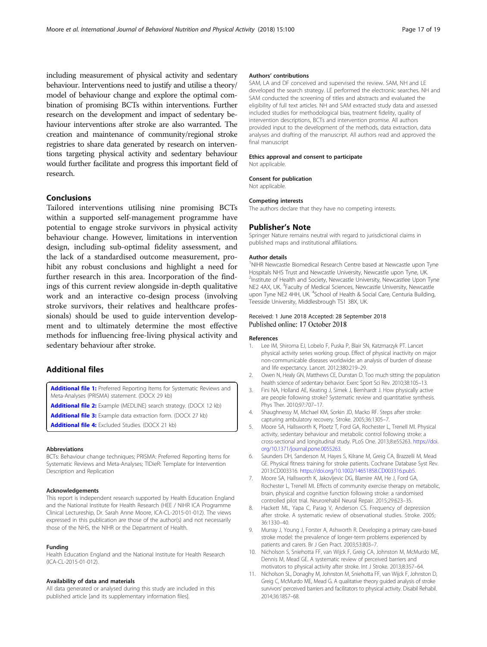<span id="page-16-0"></span>including measurement of physical activity and sedentary behaviour. Interventions need to justify and utilise a theory/ model of behaviour change and explore the optimal combination of promising BCTs within interventions. Further research on the development and impact of sedentary behaviour interventions after stroke are also warranted. The creation and maintenance of community/regional stroke registries to share data generated by research on interventions targeting physical activity and sedentary behaviour would further facilitate and progress this important field of research.

# Conclusions

Tailored interventions utilising nine promising BCTs within a supported self-management programme have potential to engage stroke survivors in physical activity behaviour change. However, limitations in intervention design, including sub-optimal fidelity assessment, and the lack of a standardised outcome measurement, prohibit any robust conclusions and highlight a need for further research in this area. Incorporation of the findings of this current review alongside in-depth qualitative work and an interactive co-design process (involving stroke survivors, their relatives and healthcare professionals) should be used to guide intervention development and to ultimately determine the most effective methods for influencing free-living physical activity and sedentary behaviour after stroke.

# Additional files

[Additional file 1:](https://doi.org/10.1186/s12966-018-0730-0) Preferred Reporting Items for Systematic Reviews and Meta-Analyses (PRISMA) statement. (DOCX 29 kb)

[Additional file 2:](https://doi.org/10.1186/s12966-018-0730-0) Example (MEDLINE) search strategy. (DOCX 12 kb)

[Additional file 3:](https://doi.org/10.1186/s12966-018-0730-0) Example data extraction form. (DOCX 27 kb)

[Additional file 4:](https://doi.org/10.1186/s12966-018-0730-0) Excluded Studies. (DOCX 21 kb)

#### Abbreviations

BCTs: Behaviour change techniques; PRISMA: Preferred Reporting Items for Systematic Reviews and Meta-Analyses; TIDieR: Template for Intervention Description and Replication

#### Acknowledgements

This report is independent research supported by Health Education England and the National Institute for Health Research (HEE / NIHR ICA Programme Clinical Lectureship, Dr. Sarah Anne Moore, ICA-CL-2015-01-012). The views expressed in this publication are those of the author(s) and not necessarily those of the NHS, the NIHR or the Department of Health.

#### Funding

Health Education England and the National Institute for Health Research (ICA-CL-2015-01-012).

#### Availability of data and materials

All data generated or analysed during this study are included in this published article [and its supplementary information files].

#### Authors' contributions

SAM, LA and DF conceived and supervised the review. SAM, NH and LE developed the search strategy. LE performed the electronic searches. NH and SAM conducted the screening of titles and abstracts and evaluated the eligibility of full text articles. NH and SAM extracted study data and assessed included studies for methodological bias, treatment fidelity, quality of intervention descriptions, BCTs and intervention promise. All authors provided input to the development of the methods, data extraction, data analyses and drafting of the manuscript. All authors read and approved the final manuscript

#### Ethics approval and consent to participate

Not applicable.

#### Consent for publication

Not applicable.

#### Competing interests

The authors declare that they have no competing interests.

#### Publisher's Note

Springer Nature remains neutral with regard to jurisdictional claims in published maps and institutional affiliations.

#### Author details

<sup>1</sup>NIHR Newcastle Biomedical Research Centre based at Newcastle upon Tyne Hospitals NHS Trust and Newcastle University, Newcastle upon Tyne, UK. <sup>2</sup>Institute of Health and Society, Newcastle University, Newcastlee Upon Tyne NE2 4AX, UK. <sup>3</sup>Faculty of Medical Sciences, Newcastle University, Newcastle upon Tyne NE2 4HH, UK. <sup>4</sup>School of Health & Social Care, Centuria Building, Teesside University, Middlesbrough TS1 3BX, UK.

### Received: 1 June 2018 Accepted: 28 September 2018 Published online: 17 October 2018

## References

- 1. Lee IM, Shiroma EJ, Lobelo F, Puska P, Blair SN, Katzmarzyk PT. Lancet physical activity series working group. Effect of physical inactivity on major non-communicable diseases worldwide: an analysis of burden of disease and life expectancy. Lancet. 2012;380:219–29.
- 2. Owen N, Healy GN, Matthews CE, Dunstan D. Too much sitting: the population health science of sedentary behavior. Exerc Sport Sci Rev. 2010;38:105-13.
- 3. Fini NA, Holland AE, Keating J, Simek J, Bernhardt J. How physically active are people following stroke? Systematic review and quantitative synthesis. Phys Ther. 2010;97:707–17.
- 4. Shaughnessy M, Michael KM, Sorkin JD, Macko RF. Steps after stroke: capturing ambulatory recovery. Stroke. 2005;36:1305–7.
- 5. Moore SA, Hallsworth K, Ploetz T, Ford GA, Rochester L, Trenell MI. Physical activity, sedentary behaviour and metabolic control following stroke: a cross-sectional and longitudinal study. PLoS One. 2013;8:e55263. [https://doi.](https://doi.org/10.1371/journal.pone.0055263) [org/10.1371/journal.pone.0055263.](https://doi.org/10.1371/journal.pone.0055263)
- 6. Saunders DH, Sanderson M, Hayes S, Kilrane M, Greig CA, Brazzelli M, Mead GE. Physical fitness training for stroke patients. Cochrane Database Syst Rev. 2013:CD003316. [https://doi.org/10.1002/14651858.CD003316.pub5.](https://doi.org/10.1002/14651858.CD003316.pub5)
- 7. Moore SA, Hallsworth K, Jakovljevic DG, Blamire AM, He J, Ford GA Rochester L, Trenell MI. Effects of community exercise therapy on metabolic, brain, physical and cognitive function following stroke: a randomised controlled pilot trial. Neurorehabil Neural Repair. 2015;29:623–35.
- 8. Hackett ML, Yapa C, Parag V, Anderson CS. Frequency of depression after stroke. A systematic review of observational studies. Stroke. 2005; 36:1330–40.
- 9. Murray J, Young J, Forster A, Ashworth R. Developing a primary care-based stroke model: the prevalence of longer-term problems experienced by patients and carers. Br J Gen Pract. 2003;53:803–7.
- 10. Nicholson S, Sniehotta FF, van Wijck F, Greig CA, Johnston M, McMurdo ME, Dennis M, Mead GE. A systematic review of perceived barriers and motivators to physical activity after stroke. Int J Stroke. 2013;8:357–64.
- 11. Nicholson SL, Donaghy M, Johnston M, Sniehotta FF, van Wijck F, Johnston D, Greig C, McMurdo ME, Mead G. A qualitative theory guided analysis of stroke survivors' perceived barriers and facilitators to physical activity. Disabil Rehabil. 2014;36:1857–68.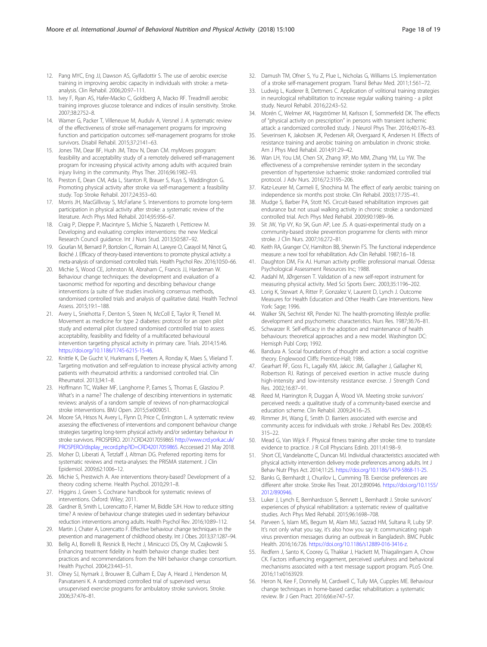- <span id="page-17-0"></span>12. Pang MYC, Eng JJ, Dawson AS, Gylfadottir S. The use of aerobic exercise training in improving aerobic capacity in individuals with stroke: a metaanalysis. Clin Rehabil. 2006;20:97–111.
- 13. Ivey F, Ryan AS, Hafer-Macko C, Goldberg A, Macko RF. Treadmill aerobic training improves glucose tolerance and indices of insulin sensitivity. Stroke. 2007;38:2752–8.
- 14. Warner G, Packer T, Villeneuve M, Audulv A, Versnel J. A systematic review of the effectiveness of stroke self-management programs for improving function and participation outcomes: self-management programs for stroke survivors. Disabil Rehabil. 2015;37:2141–63.
- 15. Jones TM, Dear BF, Hush JM, Titov N, Dean CM. myMoves program: feasibility and acceptability study of a remotely delivered self-management program for increasing physical activity among adults with acquired brain injury living in the community. Phys Ther. 2016;96:1982–93.
- 16. Preston E, Dean CM, Ada L, Stanton R, Brauer S, Kuys S, Waddington G. Promoting physical activity after stroke via self-management: a feasibility study. Top Stroke Rehabil. 2017;24:353–60.
- 17. Morris JH, MacGillivray S, McFarlane S. Interventions to promote long-term participation in physical activity after stroke: a systematic review of the literature. Arch Phys Med Rehabil. 2014;95:956–67.
- 18. Craig P, Dieppe P, Macintyre S, Michie S, Nazareth I, Petticrew M. Developing and evaluating complex interventions: the new Medical Research Council guidance. Int J Nurs Stud. 2013;50:587–92.
- 19. Gourlan M, Bernard P, Bortolon C, Romain AJ, Lareyre O, Carayol M, Ninot G, Boiché J. Efficacy of theory-based interventions to promote physical activity: a meta-analysis of randomised controlled trials. Health Psychol Rev. 2016;10:50–66.
- 20. Michie S, Wood CE, Johnston M, Abraham C, Francis JJ, Hardeman W. Behaviour change techniques: the development and evaluation of a taxonomic method for reporting and describing behaviour change interventions (a suite of five studies involving consensus methods, randomised controlled trials and analysis of qualitative data). Health Technol Assess. 2015;19:1–188.
- 21. Avery L, Sniehotta F, Denton S, Steen N, McColl E, Taylor R, Trenell M. Movement as medicine for type 2 diabetes: protocol for an open pilot study and external pilot clustered randomised controlled trial to assess acceptability, feasibility and fidelity of a multifaceted behavioural intervention targeting physical activity in primary care. Trials. 2014;15:46. <https://doi.org/10.1186/1745-6215-15-46>.
- 22. Knittle K, De Gucht V, Hurkmans E, Peeters A, Ronday K, Maes S, Vlieland T. Targeting motivation and self-regulation to increase physical activity among patients with rheumatoid arthritis: a randomised controlled trial. Clin Rheumatol. 2013;34:1–8.
- 23. Hoffmann TC, Walker MF, Langhorne P, Eames S, Thomas E, Glasziou P. What's in a name? The challenge of describing interventions in systematic reviews: analysis of a random sample of reviews of non-pharmacological stroke interventions. BMJ Open. 2015;5:e009051.
- 24. Moore SA, Hrisos N, Avery L, Flynn D, Price C, Errington L. A systematic review assessing the effectiveness of interventions and component behaviour change strategies targeting long-term physical activity and/or sedentary behaviour in stroke survivors. PROSPERO. 2017:CRD42017059865 [http://www.crd.york.ac.uk/](http://www.crd.york.ac.uk/PROSPERO/display_record.php?ID=CRD42017059865) [PROSPERO/display\\_record.php?ID=CRD42017059865](http://www.crd.york.ac.uk/PROSPERO/display_record.php?ID=CRD42017059865). Acccessed 21 May 2018.
- 25. Moher D, Liberati A, Tetzlaff J, Altman DG. Preferred reporting items for systematic reviews and meta-analyses: the PRISMA statement. J Clin Epidemiol. 2009;62:1006–12.
- 26. Michie S, Prestwich A. Are interventions theory-based? Development of a theory coding scheme. Health Psychol. 2010;29:1–8.
- 27. Higgins J, Green S. Cochrane handbook for systematic reviews of interventions. Oxford: Wiley; 2011.
- 28. Gardner B, Smith L, Lorencatto F, Hamer M, Biddle SJH. How to reduce sitting time? A review of behaviour change strategies used in sedentary behaviour reduction interventions among adults. Health Psychol Rev. 2016;10:89–112.
- 29. Martin J, Chater A, Lorencatto F. Effective behaviour change techniques in the prevention and management of childhood obesity. Int J Obes. 2013;37:1287–94.
- 30. Bellg AJ, Borrelli B, Resnick B, Hecht J, Minicucci DS, Ory M, Czajkowski S. Enhancing treatment fidelity in health behavior change studies: best practices and recommendations from the NIH behavior change consortium. Health Psychol. 2004;23:443–51.
- 31. Olney SJ, Nymark J, Brouwer B, Culham E, Day A, Heard J, Henderson M, Parvataneni K. A randomized controlled trial of supervised versus unsupervised exercise programs for ambulatory stroke survivors. Stroke. 2006;37:476–81.
- 32. Damush TM, Ofner S, Yu Z, Plue L, Nicholas G, Williams LS. Implementation of a stroke self-management program. Transl Behav Med. 2011;1:561–72.
- 33. Ludwig L, Kuderer B, Dettmers C. Application of volitional training strategies in neurological rehabilitation to increase regular walking training - a pilot study. Neurol Rehabil. 2016;22:43–52.
- 34. Morén C, Welmer AK, Hagströmer M, Karlsson E, Sommerfeld DK. The effects of "physical activity on prescription" in persons with transient ischemic attack: a randomized controlled study. J Neurol Phys Ther. 2016;40:176–83.
- 35. Severinsen K, Jakobsen JK, Pedersen AR, Overgaard K, Andersen H. Effects of resistance training and aerobic training on ambulation in chronic stroke. Am J Phys Med Rehabil. 2014;91:29–42.
- 36. Wan LH, You LM, Chen SX, Zhang XP, Mo MM, Zhang YM, Lu YW. The effectiveness of a comprehensive reminder system in the secondary prevention of hypertensive ischaemic stroke: randomized controlled trial protocol. J Adv Nurs. 2016;72:3195–206.
- 37. Katz-Leurer M, Carmeli E, Shochina M. The effect of early aerobic training on independence six months post stroke. Clin Rehabil. 2003;17:735–41.
- 38. Mudge S, Barber PA, Stott NS. Circuit-based rehabilitation improves gait endurance but not usual walking activity in chronic stroke: a randomized controlled trial. Arch Phys Med Rehabil. 2009;90:1989–96.
- 39. Sit JW, Yip VY, Ko SK, Gun AP, Lee JS. A quasi-experimental study on a community-based stroke prevention programme for clients with minor stroke. J Clin Nurs. 2007;16:272–81.
- 40. Keith RA, Granger CV, Hamilton BB, Sherwin FS. The functional independence measure: a new tool for rehabilitation. Adv Clin Rehabil. 1987;1:6–18.
- 41. Daughton DM, Fix AJ. Human activity profile: professional manual. Odessa: Psychological Assessment Resources Inc; 1988.
- 42. Aadahl M, JØrgensen T. Validation of a new self-report instrument for measuring physical activity. Med Sci Sports Exerc. 2003;35:1196–202.
- 43. Lorig K, Stewart A, Ritter P, Gonzalez V, Laurent D, Lynch J. Outcome Measures for Health Education and Other Health Care Interventions. New York: Sage; 1996.
- 44. Walker SN, Sechrist KR, Pender NJ. The health-promoting lifestyle profile: development and psychometric characteristics. Nurs Res. 1987;36:76–81.
- 45. Schwarzer R. Self-efficacy in the adoption and maintenance of health behaviours: theoretical approaches and a new model. Washington DC: Hemisph Publ Corp; 1992.
- Bandura A. Social foundations of thought and action: a social cognitive theory. Englewood Cliffs: Prentice-Hall; 1986.
- 47. Gearhart RF, Goss FL, Lagally KM, Jakicic JM, Gallagher J, Gallagher KI, Robertson RJ. Ratings of perceived exertion in active muscle during high-intensity and low-intensity resistance exercise. J Strength Cond Res. 2002;16:87–91.
- 48. Reed M, Harrington R, Duggan Á, Wood VA. Meeting stroke survivors' perceived needs: a qualitative study of a community-based exercise and education scheme. Clin Rehabil. 2009;24:16–25.
- 49. Rimmer JH, Wang E, Smith D. Barriers associated with exercise and community access for individuals with stroke. J Rehabil Res Dev. 2008;45: 315–22.
- 50. Mead G, Van Wijck F. Physical fitness training after stroke: time to translate evidence to practice. J R Coll Physcians Edinb. 2011;41:98–9.
- 51. Short CE, Vandelanotte C, Duncan MJ. Individual characteristics associated with physical activity intervention delivery mode preferences among adults. Int J Behav Nutr Phys Act. 2014;11:25. [https://doi.org/10.1186/1479-5868-11-25.](https://doi.org/10.1186/1479-5868-11-25)
- 52. Banks G, Bernhardt J, Churilov L, Cumming TB. Exercise preferences are different after stroke. Stroke Res Treat. 2012;890946. [https://doi.org/10.1155/](https://doi.org/10.1155/2012/890946) [2012/890946](https://doi.org/10.1155/2012/890946).
- 53. Luker J, Lynch E, Bernhardsson S, Bennett L, Bernhardt J. Stroke survivors' experiences of physical rehabilitation: a systematic review of qualitative studies. Arch Phys Med Rehabil. 2015;96:1698–708.
- 54. Parveen S, Islam MS, Begum M, Alam MU, Sazzad HM, Sultana R, Luby SP. It's not only what you say, it's also how you say it: communicating nipah virus prevention messages during an outbreak in Bangladesh. BMC Public Health. 2016;16:726. [https://doi.org/10.1186/s12889-016-3416-z.](https://doi.org/10.1186/s12889-016-3416-z)
- 55. Redfern J, Santo K, Coorey G, Thakkar J, Hackett M, Thiagalingam A, Chow CK. Factors influencing engagement, perceived usefulness and behavioral mechanisms associated with a text message support program. PLoS One. 2016;11:e0163929.
- 56. Heron N, Kee F, Donnelly M, Cardwell C, Tully MA, Cupples ME. Behaviour change techniques in home-based cardiac rehabilitation: a systematic review. Br J Gen Pract. 2016;66:e747–57.